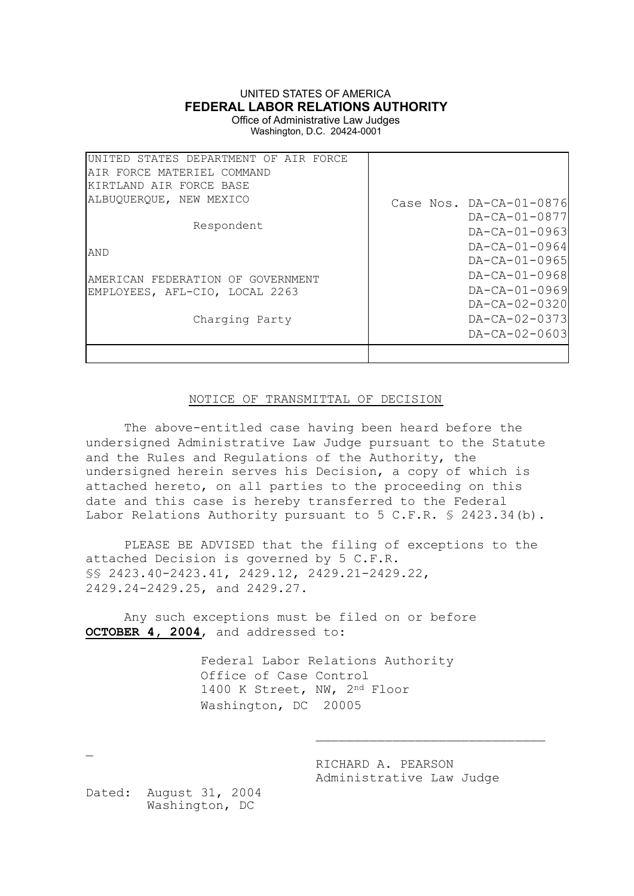# UNITED STATES OF AMERICA **FEDERAL LABOR RELATIONS AUTHORITY**

Office of Administrative Law Judges

Washington, D.C. 20424-0001

| IUNTTED.<br>STATES DEPARTMENT OF AIR FORCE            |                                  |
|-------------------------------------------------------|----------------------------------|
| AIR FORCE MATERIEL COMMAND<br>KIRTLAND AIR FORCE BASE |                                  |
| ALBUOUEROUE, NEW MEXICO                               | Case Nos. DA-CA-01-0876          |
| Respondent                                            | DA-CA-01-0877                    |
|                                                       | $DA-CA-01-0963$                  |
| <b>AND</b>                                            | $DA-CA-01-0964$<br>DA-CA-01-0965 |
| IAMERICAN FEDERATION OF GOVERNMENT                    | DA-CA-01-0968                    |
| EMPLOYEES, AFL-CIO, LOCAL 2263                        | $DA-CA-01-0969$                  |
|                                                       | $DA - CA - 02 - 0320$            |
| Charging Party                                        | $DA - CA - 02 - 0373$            |
|                                                       | $DA - CA - 02 - 0603$            |
|                                                       |                                  |

#### NOTICE OF TRANSMITTAL OF DECISION

The above-entitled case having been heard before the undersigned Administrative Law Judge pursuant to the Statute and the Rules and Regulations of the Authority, the undersigned herein serves his Decision, a copy of which is attached hereto, on all parties to the proceeding on this date and this case is hereby transferred to the Federal Labor Relations Authority pursuant to 5 C.F.R. § 2423.34 (b).

PLEASE BE ADVISED that the filing of exceptions to the attached Decision is governed by 5 C.F.R. §§ 2423.40-2423.41, 2429.12, 2429.21-2429.22, 2429.24-2429.25, and 2429.27.

Any such exceptions must be filed on or before **OCTOBER 4, 2004**, and addressed to:

> Federal Labor Relations Authority Office of Case Control 1400 K Street, NW, 2nd Floor Washington, DC 20005

> > RICHARD A. PEARSON Administrative Law Judge

 $\overline{\phantom{a}}$  , where  $\overline{\phantom{a}}$  , where  $\overline{\phantom{a}}$  ,  $\overline{\phantom{a}}$  ,  $\overline{\phantom{a}}$  ,  $\overline{\phantom{a}}$  ,  $\overline{\phantom{a}}$  ,  $\overline{\phantom{a}}$  ,  $\overline{\phantom{a}}$  ,  $\overline{\phantom{a}}$  ,  $\overline{\phantom{a}}$  ,  $\overline{\phantom{a}}$  ,  $\overline{\phantom{a}}$  ,  $\overline{\phantom{a}}$  ,  $\overline{\phantom{a}}$  ,

Dated: August 31, 2004 Washington, DC

 $\overline{a}$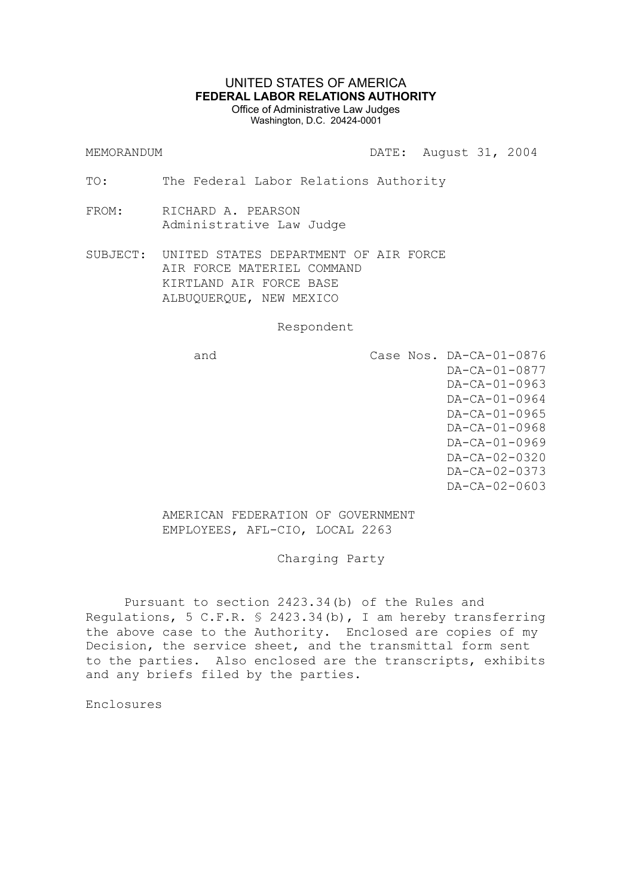# UNITED STATES OF AMERICA **FEDERAL LABOR RELATIONS AUTHORITY**

Office of Administrative Law Judges Washington, D.C. 20424-0001

#### MEMORANDUM DATE: August 31, 2004

- TO: The Federal Labor Relations Authority
- FROM: RICHARD A. PEARSON Administrative Law Judge
- SUBJECT: UNITED STATES DEPARTMENT OF AIR FORCE AIR FORCE MATERIEL COMMAND KIRTLAND AIR FORCE BASE ALBUQUERQUE, NEW MEXICO

#### Respondent

 and Case Nos. DA-CA-01-0876 DA-CA-01-0877 DA-CA-01-0963 DA-CA-01-0964 DA-CA-01-0965 DA-CA-01-0968 DA-CA-01-0969 DA-CA-02-0320 DA-CA-02-0373 DA-CA-02-0603

### AMERICAN FEDERATION OF GOVERNMENT EMPLOYEES, AFL-CIO, LOCAL 2263

### Charging Party

Pursuant to section 2423.34(b) of the Rules and Regulations, 5 C.F.R. § 2423.34(b), I am hereby transferring the above case to the Authority. Enclosed are copies of my Decision, the service sheet, and the transmittal form sent to the parties. Also enclosed are the transcripts, exhibits and any briefs filed by the parties.

Enclosures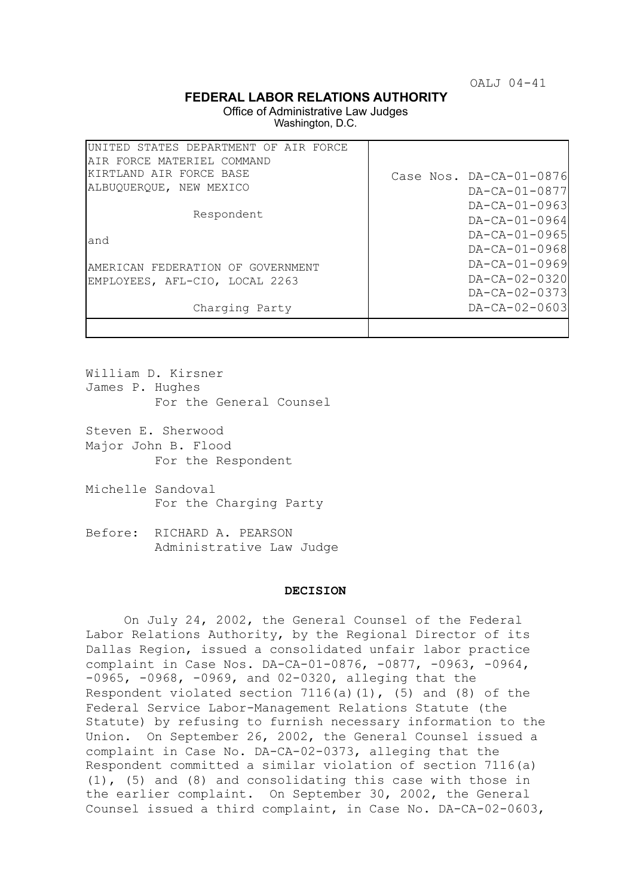OALJ 04-41

### **FEDERAL LABOR RELATIONS AUTHORITY**

Office of Administrative Law Judges Washington, D.C.

| UNITED STATES DEPARTMENT OF AIR FORCE<br>AIR FORCE MATERIEL COMMAND |                         |
|---------------------------------------------------------------------|-------------------------|
| KIRTLAND AIR FORCE BASE                                             | Case Nos. DA-CA-01-0876 |
| ALBUOUEROUE, NEW MEXICO                                             | $DA - CA - 01 - 0877$   |
|                                                                     | $DA-CA-01-0963$         |
| Respondent                                                          | $DA - CA - 01 - 0964$   |
| land                                                                | DA-CA-01-0965           |
|                                                                     | $DA - CA - 01 - 0968$   |
| AMERICAN FEDERATION OF GOVERNMENT                                   | $DA-CA-01-0969$         |
| EMPLOYEES, AFL-CIO, LOCAL 2263                                      | DA-CA-02-0320           |
|                                                                     | $DA - CA - 02 - 0373$   |
| Charging Party                                                      | $DA - CA - 02 - 0603$   |
|                                                                     |                         |

- William D. Kirsner James P. Hughes For the General Counsel
- Steven E. Sherwood Major John B. Flood For the Respondent
- Michelle Sandoval For the Charging Party
- Before: RICHARD A. PEARSON Administrative Law Judge

#### **DECISION**

On July 24, 2002, the General Counsel of the Federal Labor Relations Authority, by the Regional Director of its Dallas Region, issued a consolidated unfair labor practice complaint in Case Nos. DA-CA-01-0876, -0877, -0963, -0964, -0965, -0968, -0969, and 02-0320, alleging that the Respondent violated section  $7116(a)(1)$ , (5) and (8) of the Federal Service Labor-Management Relations Statute (the Statute) by refusing to furnish necessary information to the Union. On September 26, 2002, the General Counsel issued a complaint in Case No. DA-CA-02-0373, alleging that the Respondent committed a similar violation of section 7116(a) (1), (5) and (8) and consolidating this case with those in the earlier complaint. On September 30, 2002, the General Counsel issued a third complaint, in Case No. DA-CA-02-0603,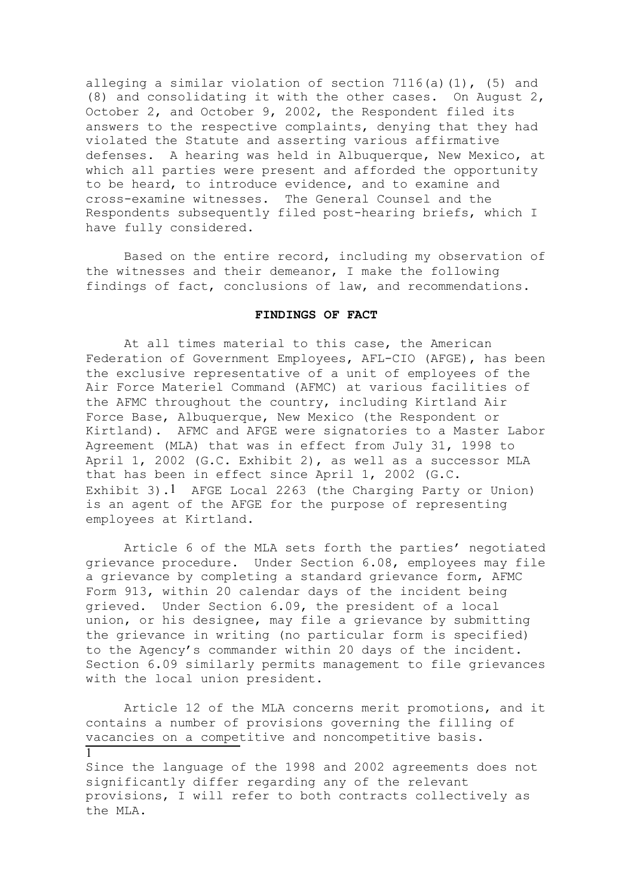alleging a similar violation of section 7116(a)(1), (5) and (8) and consolidating it with the other cases. On August 2, October 2, and October 9, 2002, the Respondent filed its answers to the respective complaints, denying that they had violated the Statute and asserting various affirmative defenses. A hearing was held in Albuquerque, New Mexico, at which all parties were present and afforded the opportunity to be heard, to introduce evidence, and to examine and cross-examine witnesses. The General Counsel and the Respondents subsequently filed post-hearing briefs, which I have fully considered.

Based on the entire record, including my observation of the witnesses and their demeanor, I make the following findings of fact, conclusions of law, and recommendations.

### **FINDINGS OF FACT**

At all times material to this case, the American Federation of Government Employees, AFL-CIO (AFGE), has been the exclusive representative of a unit of employees of the Air Force Materiel Command (AFMC) at various facilities of the AFMC throughout the country, including Kirtland Air Force Base, Albuquerque, New Mexico (the Respondent or Kirtland). AFMC and AFGE were signatories to a Master Labor Agreement (MLA) that was in effect from July 31, 1998 to April 1, 2002 (G.C. Exhibit 2), as well as a successor MLA that has been in effect since April 1, 2002 (G.C. Exhibit 3).1 AFGE Local 2263 (the Charging Party or Union) is an agent of the AFGE for the purpose of representing employees at Kirtland.

Article 6 of the MLA sets forth the parties' negotiated grievance procedure. Under Section 6.08, employees may file a grievance by completing a standard grievance form, AFMC Form 913, within 20 calendar days of the incident being grieved. Under Section 6.09, the president of a local union, or his designee, may file a grievance by submitting the grievance in writing (no particular form is specified) to the Agency's commander within 20 days of the incident. Section 6.09 similarly permits management to file grievances with the local union president.

Article 12 of the MLA concerns merit promotions, and it contains a number of provisions governing the filling of vacancies on a competitive and noncompetitive basis.  $\overline{1}$ 

Since the language of the 1998 and 2002 agreements does not significantly differ regarding any of the relevant provisions, I will refer to both contracts collectively as the MLA.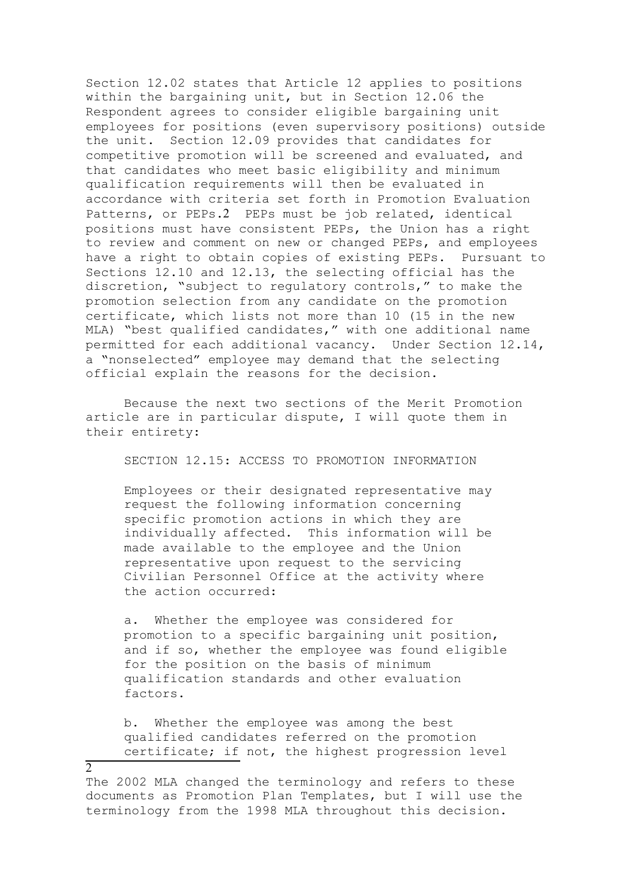Section 12.02 states that Article 12 applies to positions within the bargaining unit, but in Section 12.06 the Respondent agrees to consider eligible bargaining unit employees for positions (even supervisory positions) outside the unit. Section 12.09 provides that candidates for competitive promotion will be screened and evaluated, and that candidates who meet basic eligibility and minimum qualification requirements will then be evaluated in accordance with criteria set forth in Promotion Evaluation Patterns, or PEPs.2 PEPs must be job related, identical positions must have consistent PEPs, the Union has a right to review and comment on new or changed PEPs, and employees have a right to obtain copies of existing PEPs. Pursuant to Sections 12.10 and 12.13, the selecting official has the discretion, "subject to regulatory controls," to make the promotion selection from any candidate on the promotion certificate, which lists not more than 10 (15 in the new MLA) "best qualified candidates," with one additional name permitted for each additional vacancy. Under Section 12.14, a "nonselected" employee may demand that the selecting official explain the reasons for the decision.

Because the next two sections of the Merit Promotion article are in particular dispute, I will quote them in their entirety:

SECTION 12.15: ACCESS TO PROMOTION INFORMATION

Employees or their designated representative may request the following information concerning specific promotion actions in which they are individually affected. This information will be made available to the employee and the Union representative upon request to the servicing Civilian Personnel Office at the activity where the action occurred:

a. Whether the employee was considered for promotion to a specific bargaining unit position, and if so, whether the employee was found eligible for the position on the basis of minimum qualification standards and other evaluation factors.

b. Whether the employee was among the best qualified candidates referred on the promotion certificate; if not, the highest progression level

 $\overline{2}$ 

The 2002 MLA changed the terminology and refers to these documents as Promotion Plan Templates, but I will use the terminology from the 1998 MLA throughout this decision.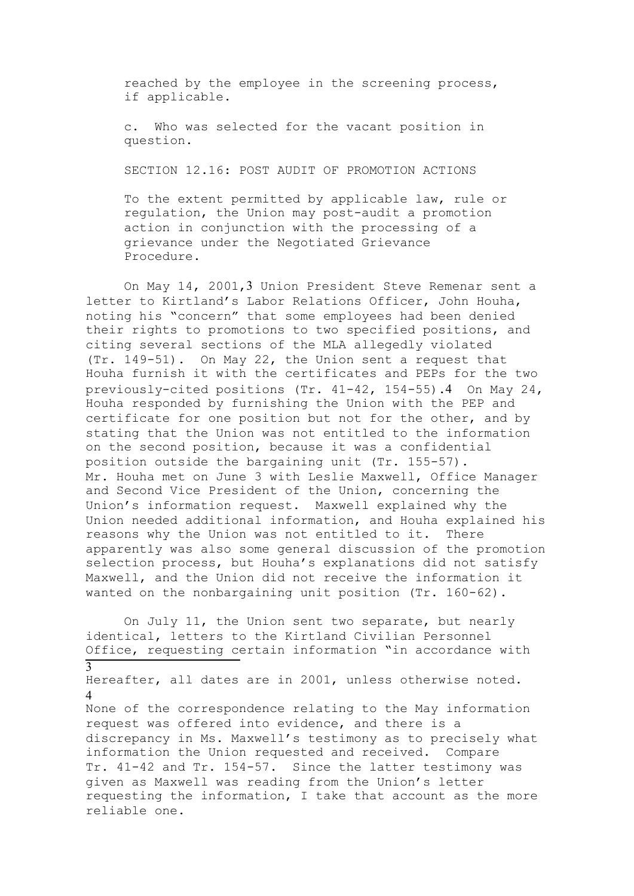reached by the employee in the screening process, if applicable.

c. Who was selected for the vacant position in question.

SECTION 12.16: POST AUDIT OF PROMOTION ACTIONS

To the extent permitted by applicable law, rule or regulation, the Union may post-audit a promotion action in conjunction with the processing of a grievance under the Negotiated Grievance Procedure.

On May 14, 2001,3 Union President Steve Remenar sent a letter to Kirtland's Labor Relations Officer, John Houha, noting his "concern" that some employees had been denied their rights to promotions to two specified positions, and citing several sections of the MLA allegedly violated (Tr. 149-51). On May 22, the Union sent a request that Houha furnish it with the certificates and PEPs for the two previously-cited positions (Tr. 41-42, 154-55).4 On May 24, Houha responded by furnishing the Union with the PEP and certificate for one position but not for the other, and by stating that the Union was not entitled to the information on the second position, because it was a confidential position outside the bargaining unit (Tr. 155-57). Mr. Houha met on June 3 with Leslie Maxwell, Office Manager and Second Vice President of the Union, concerning the Union's information request. Maxwell explained why the Union needed additional information, and Houha explained his reasons why the Union was not entitled to it. There apparently was also some general discussion of the promotion selection process, but Houha's explanations did not satisfy Maxwell, and the Union did not receive the information it wanted on the nonbargaining unit position (Tr. 160-62).

On July 11, the Union sent two separate, but nearly identical, letters to the Kirtland Civilian Personnel Office, requesting certain information "in accordance with  $\overline{3}$ Hereafter, all dates are in 2001, unless otherwise noted.

4 None of the correspondence relating to the May information request was offered into evidence, and there is a discrepancy in Ms. Maxwell's testimony as to precisely what information the Union requested and received. Compare Tr. 41-42 and Tr. 154-57. Since the latter testimony was given as Maxwell was reading from the Union's letter requesting the information, I take that account as the more reliable one.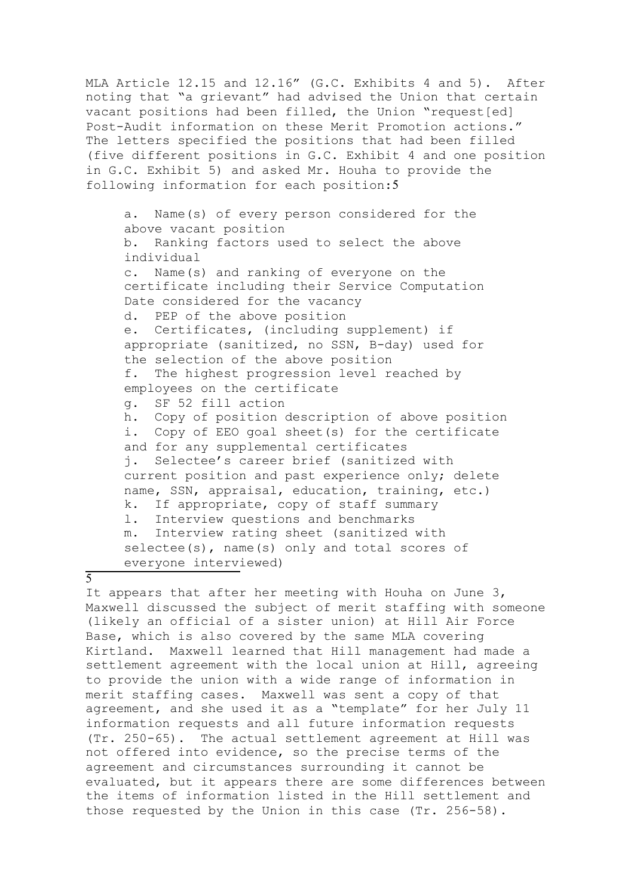MLA Article 12.15 and 12.16" (G.C. Exhibits 4 and 5). After noting that "a grievant" had advised the Union that certain vacant positions had been filled, the Union "request[ed] Post-Audit information on these Merit Promotion actions." The letters specified the positions that had been filled (five different positions in G.C. Exhibit 4 and one position in G.C. Exhibit 5) and asked Mr. Houha to provide the following information for each position:5

a. Name(s) of every person considered for the above vacant position b. Ranking factors used to select the above individual c. Name(s) and ranking of everyone on the certificate including their Service Computation Date considered for the vacancy d. PEP of the above position e. Certificates, (including supplement) if appropriate (sanitized, no SSN, B-day) used for the selection of the above position f. The highest progression level reached by employees on the certificate g. SF 52 fill action h. Copy of position description of above position i. Copy of EEO goal sheet(s) for the certificate and for any supplemental certificates j. Selectee's career brief (sanitized with current position and past experience only; delete name, SSN, appraisal, education, training, etc.) k. If appropriate, copy of staff summary l. Interview questions and benchmarks m. Interview rating sheet (sanitized with selectee(s), name(s) only and total scores of everyone interviewed)

 $\overline{\varsigma}$ 

It appears that after her meeting with Houha on June 3, Maxwell discussed the subject of merit staffing with someone (likely an official of a sister union) at Hill Air Force Base, which is also covered by the same MLA covering Kirtland. Maxwell learned that Hill management had made a settlement agreement with the local union at Hill, agreeing to provide the union with a wide range of information in merit staffing cases. Maxwell was sent a copy of that agreement, and she used it as a "template" for her July 11 information requests and all future information requests (Tr. 250-65). The actual settlement agreement at Hill was not offered into evidence, so the precise terms of the agreement and circumstances surrounding it cannot be evaluated, but it appears there are some differences between the items of information listed in the Hill settlement and those requested by the Union in this case (Tr. 256-58).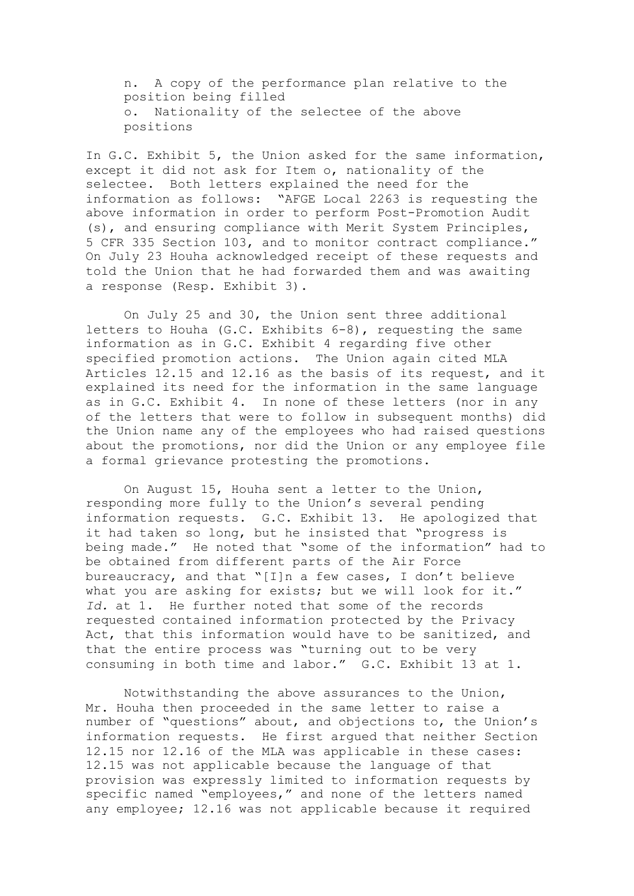n. A copy of the performance plan relative to the position being filled o. Nationality of the selectee of the above positions

In G.C. Exhibit 5, the Union asked for the same information, except it did not ask for Item o, nationality of the selectee. Both letters explained the need for the information as follows: "AFGE Local 2263 is requesting the above information in order to perform Post-Promotion Audit (s), and ensuring compliance with Merit System Principles, 5 CFR 335 Section 103, and to monitor contract compliance." On July 23 Houha acknowledged receipt of these requests and told the Union that he had forwarded them and was awaiting a response (Resp. Exhibit 3).

On July 25 and 30, the Union sent three additional letters to Houha (G.C. Exhibits 6-8), requesting the same information as in G.C. Exhibit 4 regarding five other specified promotion actions. The Union again cited MLA Articles 12.15 and 12.16 as the basis of its request, and it explained its need for the information in the same language as in G.C. Exhibit 4. In none of these letters (nor in any of the letters that were to follow in subsequent months) did the Union name any of the employees who had raised questions about the promotions, nor did the Union or any employee file a formal grievance protesting the promotions.

On August 15, Houha sent a letter to the Union, responding more fully to the Union's several pending information requests. G.C. Exhibit 13. He apologized that it had taken so long, but he insisted that "progress is being made." He noted that "some of the information" had to be obtained from different parts of the Air Force bureaucracy, and that "[I]n a few cases, I don't believe what you are asking for exists; but we will look for it." *Id.* at 1. He further noted that some of the records requested contained information protected by the Privacy Act, that this information would have to be sanitized, and that the entire process was "turning out to be very consuming in both time and labor." G.C. Exhibit 13 at 1.

Notwithstanding the above assurances to the Union, Mr. Houha then proceeded in the same letter to raise a number of "questions" about, and objections to, the Union's information requests. He first argued that neither Section 12.15 nor 12.16 of the MLA was applicable in these cases: 12.15 was not applicable because the language of that provision was expressly limited to information requests by specific named "employees," and none of the letters named any employee; 12.16 was not applicable because it required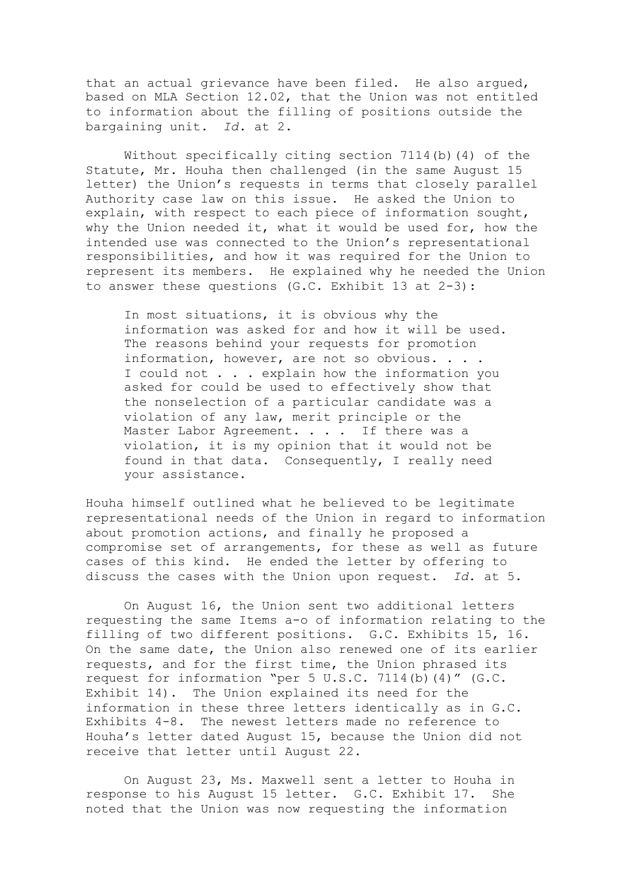that an actual grievance have been filed. He also argued, based on MLA Section 12.02, that the Union was not entitled to information about the filling of positions outside the bargaining unit. *Id*. at 2.

Without specifically citing section 7114(b)(4) of the Statute, Mr. Houha then challenged (in the same August 15 letter) the Union's requests in terms that closely parallel Authority case law on this issue. He asked the Union to explain, with respect to each piece of information sought, why the Union needed it, what it would be used for, how the intended use was connected to the Union's representational responsibilities, and how it was required for the Union to represent its members. He explained why he needed the Union to answer these questions (G.C. Exhibit 13 at 2-3):

In most situations, it is obvious why the information was asked for and how it will be used. The reasons behind your requests for promotion information, however, are not so obvious. . . . I could not . . . explain how the information you asked for could be used to effectively show that the nonselection of a particular candidate was a violation of any law, merit principle or the Master Labor Agreement. . . . If there was a violation, it is my opinion that it would not be found in that data. Consequently, I really need your assistance.

Houha himself outlined what he believed to be legitimate representational needs of the Union in regard to information about promotion actions, and finally he proposed a compromise set of arrangements, for these as well as future cases of this kind. He ended the letter by offering to discuss the cases with the Union upon request. *Id.* at 5.

On August 16, the Union sent two additional letters requesting the same Items a-o of information relating to the filling of two different positions. G.C. Exhibits 15, 16. On the same date, the Union also renewed one of its earlier requests, and for the first time, the Union phrased its request for information "per 5 U.S.C. 7114(b)(4)" (G.C. Exhibit 14). The Union explained its need for the information in these three letters identically as in G.C. Exhibits 4-8. The newest letters made no reference to Houha's letter dated August 15, because the Union did not receive that letter until August 22.

On August 23, Ms. Maxwell sent a letter to Houha in response to his August 15 letter. G.C. Exhibit 17. She noted that the Union was now requesting the information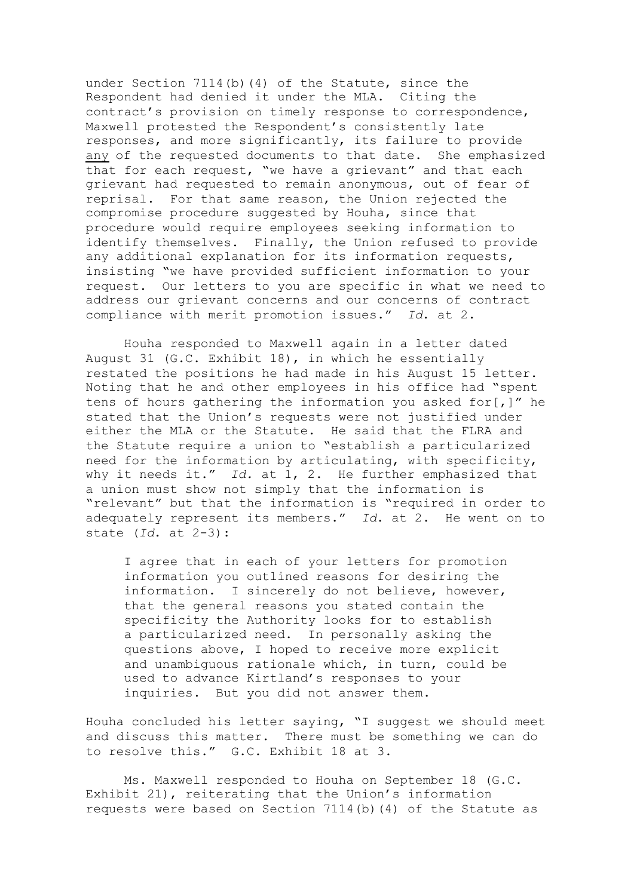under Section 7114(b)(4) of the Statute, since the Respondent had denied it under the MLA. Citing the contract's provision on timely response to correspondence, Maxwell protested the Respondent's consistently late responses, and more significantly, its failure to provide any of the requested documents to that date. She emphasized that for each request, "we have a grievant" and that each grievant had requested to remain anonymous, out of fear of reprisal. For that same reason, the Union rejected the compromise procedure suggested by Houha, since that procedure would require employees seeking information to identify themselves. Finally, the Union refused to provide any additional explanation for its information requests, insisting "we have provided sufficient information to your request. Our letters to you are specific in what we need to address our grievant concerns and our concerns of contract compliance with merit promotion issues." *Id*. at 2.

Houha responded to Maxwell again in a letter dated August 31 (G.C. Exhibit 18), in which he essentially restated the positions he had made in his August 15 letter. Noting that he and other employees in his office had "spent tens of hours gathering the information you asked for[,]" he stated that the Union's requests were not justified under either the MLA or the Statute. He said that the FLRA and the Statute require a union to "establish a particularized need for the information by articulating, with specificity, why it needs it." *Id.* at 1, 2. He further emphasized that a union must show not simply that the information is "relevant" but that the information is "required in order to adequately represent its members." *Id*. at 2. He went on to state (*Id*. at 2-3):

I agree that in each of your letters for promotion information you outlined reasons for desiring the information. I sincerely do not believe, however, that the general reasons you stated contain the specificity the Authority looks for to establish a particularized need. In personally asking the questions above, I hoped to receive more explicit and unambiguous rationale which, in turn, could be used to advance Kirtland's responses to your inquiries. But you did not answer them.

Houha concluded his letter saying, "I suggest we should meet and discuss this matter. There must be something we can do to resolve this." G.C. Exhibit 18 at 3.

Ms. Maxwell responded to Houha on September 18 (G.C. Exhibit 21), reiterating that the Union's information requests were based on Section 7114(b)(4) of the Statute as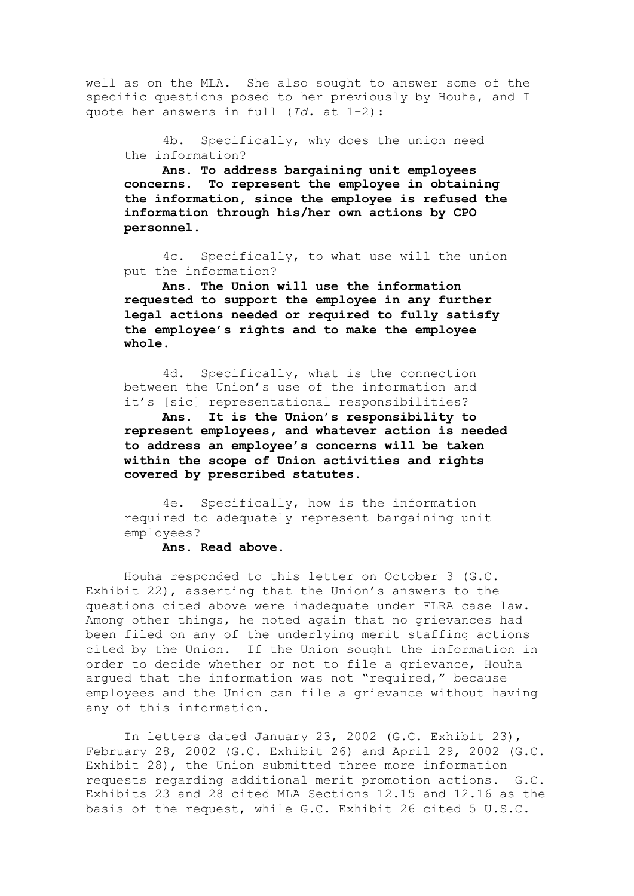well as on the MLA. She also sought to answer some of the specific questions posed to her previously by Houha, and I quote her answers in full (*Id.* at 1-2):

4b. Specifically, why does the union need the information?

**Ans. To address bargaining unit employees concerns. To represent the employee in obtaining the information, since the employee is refused the information through his/her own actions by CPO personnel.**

4c. Specifically, to what use will the union put the information?

**Ans. The Union will use the information requested to support the employee in any further legal actions needed or required to fully satisfy the employee's rights and to make the employee whole.**

4d. Specifically, what is the connection between the Union's use of the information and it's [sic] representational responsibilities?

**Ans. It is the Union's responsibility to represent employees, and whatever action is needed to address an employee's concerns will be taken within the scope of Union activities and rights covered by prescribed statutes.**

4e. Specifically, how is the information required to adequately represent bargaining unit employees?

### **Ans. Read above.**

Houha responded to this letter on October 3 (G.C. Exhibit 22), asserting that the Union's answers to the questions cited above were inadequate under FLRA case law. Among other things, he noted again that no grievances had been filed on any of the underlying merit staffing actions cited by the Union. If the Union sought the information in order to decide whether or not to file a grievance, Houha argued that the information was not "required," because employees and the Union can file a grievance without having any of this information.

In letters dated January 23, 2002 (G.C. Exhibit 23), February 28, 2002 (G.C. Exhibit 26) and April 29, 2002 (G.C. Exhibit 28), the Union submitted three more information requests regarding additional merit promotion actions. G.C. Exhibits 23 and 28 cited MLA Sections 12.15 and 12.16 as the basis of the request, while G.C. Exhibit 26 cited 5 U.S.C.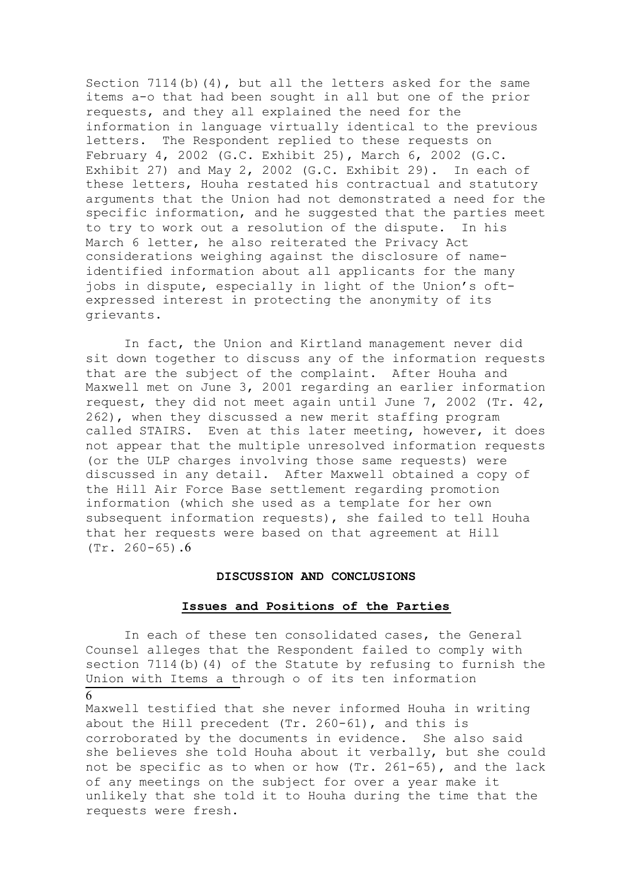Section 7114(b)(4), but all the letters asked for the same items a-o that had been sought in all but one of the prior requests, and they all explained the need for the information in language virtually identical to the previous letters. The Respondent replied to these requests on February 4, 2002 (G.C. Exhibit 25), March 6, 2002 (G.C. Exhibit 27) and May 2, 2002 (G.C. Exhibit 29). In each of these letters, Houha restated his contractual and statutory arguments that the Union had not demonstrated a need for the specific information, and he suggested that the parties meet to try to work out a resolution of the dispute. In his March 6 letter, he also reiterated the Privacy Act considerations weighing against the disclosure of nameidentified information about all applicants for the many iobs in dispute, especially in light of the Union's oftexpressed interest in protecting the anonymity of its grievants.

In fact, the Union and Kirtland management never did sit down together to discuss any of the information requests that are the subject of the complaint. After Houha and Maxwell met on June 3, 2001 regarding an earlier information request, they did not meet again until June 7, 2002 (Tr. 42, 262), when they discussed a new merit staffing program called STAIRS. Even at this later meeting, however, it does not appear that the multiple unresolved information requests (or the ULP charges involving those same requests) were discussed in any detail. After Maxwell obtained a copy of the Hill Air Force Base settlement regarding promotion information (which she used as a template for her own subsequent information requests), she failed to tell Houha that her requests were based on that agreement at Hill (Tr. 260-65).6

### **DISCUSSION AND CONCLUSIONS**

### **Issues and Positions of the Parties**

In each of these ten consolidated cases, the General Counsel alleges that the Respondent failed to comply with section 7114(b)(4) of the Statute by refusing to furnish the Union with Items a through o of its ten information

Maxwell testified that she never informed Houha in writing about the Hill precedent (Tr. 260-61), and this is corroborated by the documents in evidence. She also said she believes she told Houha about it verbally, but she could not be specific as to when or how (Tr. 261-65), and the lack of any meetings on the subject for over a year make it unlikely that she told it to Houha during the time that the requests were fresh.

<sup>6</sup>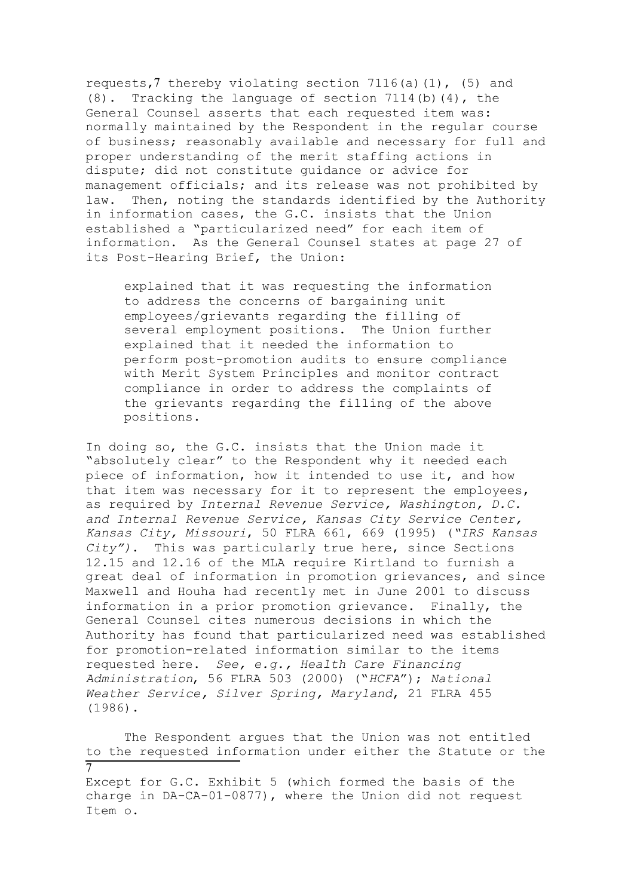requests,7 thereby violating section 7116(a)(1), (5) and  $(8)$ . Tracking the language of section 7114(b)(4), the General Counsel asserts that each requested item was: normally maintained by the Respondent in the regular course of business; reasonably available and necessary for full and proper understanding of the merit staffing actions in dispute; did not constitute guidance or advice for management officials; and its release was not prohibited by law. Then, noting the standards identified by the Authority in information cases, the G.C. insists that the Union established a "particularized need" for each item of information. As the General Counsel states at page 27 of its Post-Hearing Brief, the Union:

explained that it was requesting the information to address the concerns of bargaining unit employees/grievants regarding the filling of several employment positions. The Union further explained that it needed the information to perform post-promotion audits to ensure compliance with Merit System Principles and monitor contract compliance in order to address the complaints of the grievants regarding the filling of the above positions.

In doing so, the G.C. insists that the Union made it "absolutely clear" to the Respondent why it needed each piece of information, how it intended to use it, and how that item was necessary for it to represent the employees, as required by *Internal Revenue Service, Washington, D.C. and Internal Revenue Service, Kansas City Service Center, Kansas City, Missouri*, 50 FLRA 661, 669 (1995) (*"IRS Kansas City")*. This was particularly true here, since Sections 12.15 and 12.16 of the MLA require Kirtland to furnish a great deal of information in promotion grievances, and since Maxwell and Houha had recently met in June 2001 to discuss information in a prior promotion grievance. Finally, the General Counsel cites numerous decisions in which the Authority has found that particularized need was established for promotion-related information similar to the items requested here. *See, e.g., Health Care Financing Administration*, 56 FLRA 503 (2000) ("*HCFA*"); *National Weather Service, Silver Spring, Maryland*, 21 FLRA 455 (1986).

The Respondent argues that the Union was not entitled to the requested information under either the Statute or the  $\overline{7}$ Except for G.C. Exhibit 5 (which formed the basis of the

charge in DA-CA-01-0877), where the Union did not request Item o.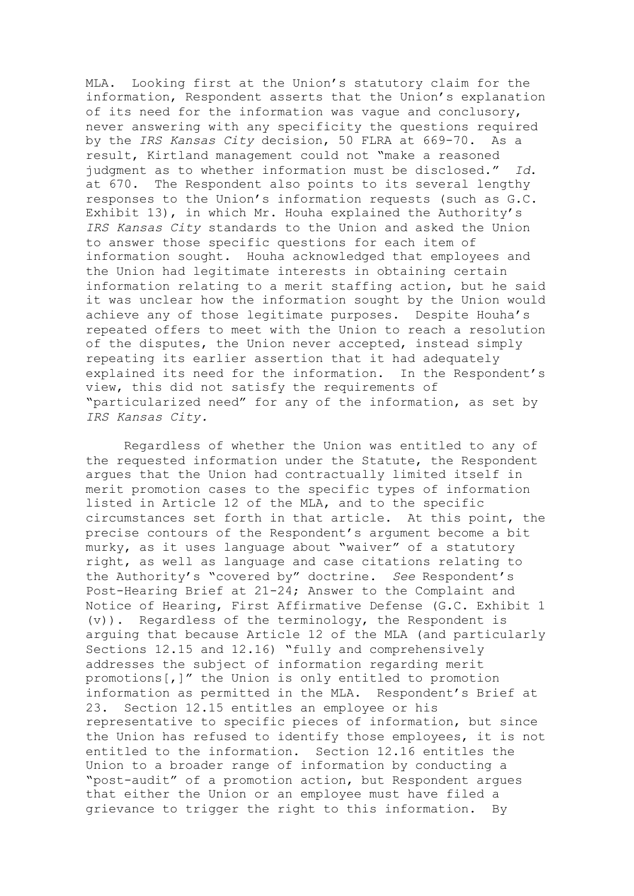MLA. Looking first at the Union's statutory claim for the information, Respondent asserts that the Union's explanation of its need for the information was vague and conclusory, never answering with any specificity the questions required by the *IRS Kansas City* decision, 50 FLRA at 669-70. As a result, Kirtland management could not "make a reasoned judgment as to whether information must be disclosed." *Id*. at 670. The Respondent also points to its several lengthy responses to the Union's information requests (such as G.C. Exhibit 13), in which Mr. Houha explained the Authority's *IRS Kansas City* standards to the Union and asked the Union to answer those specific questions for each item of information sought. Houha acknowledged that employees and the Union had legitimate interests in obtaining certain information relating to a merit staffing action, but he said it was unclear how the information sought by the Union would achieve any of those legitimate purposes. Despite Houha's repeated offers to meet with the Union to reach a resolution of the disputes, the Union never accepted, instead simply repeating its earlier assertion that it had adequately explained its need for the information. In the Respondent's view, this did not satisfy the requirements of "particularized need" for any of the information, as set by *IRS Kansas City.*

Regardless of whether the Union was entitled to any of the requested information under the Statute, the Respondent argues that the Union had contractually limited itself in merit promotion cases to the specific types of information listed in Article 12 of the MLA, and to the specific circumstances set forth in that article. At this point, the precise contours of the Respondent's argument become a bit murky, as it uses language about "waiver" of a statutory right, as well as language and case citations relating to the Authority's "covered by" doctrine. *See* Respondent's Post-Hearing Brief at 21-24; Answer to the Complaint and Notice of Hearing, First Affirmative Defense (G.C. Exhibit 1 (v)). Regardless of the terminology, the Respondent is arguing that because Article 12 of the MLA (and particularly Sections 12.15 and 12.16) "fully and comprehensively addresses the subject of information regarding merit promotions[,]" the Union is only entitled to promotion information as permitted in the MLA. Respondent's Brief at 23. Section 12.15 entitles an employee or his representative to specific pieces of information, but since the Union has refused to identify those employees, it is not entitled to the information. Section 12.16 entitles the Union to a broader range of information by conducting a "post-audit" of a promotion action, but Respondent argues that either the Union or an employee must have filed a grievance to trigger the right to this information. By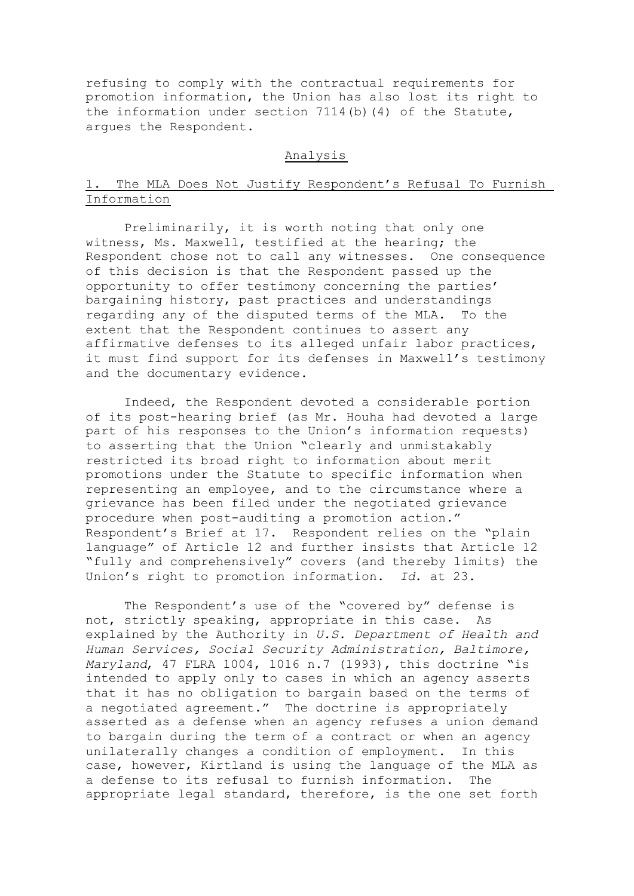refusing to comply with the contractual requirements for promotion information, the Union has also lost its right to the information under section 7114(b)(4) of the Statute, argues the Respondent.

### Analysis

# 1. The MLA Does Not Justify Respondent's Refusal To Furnish Information

Preliminarily, it is worth noting that only one witness, Ms. Maxwell, testified at the hearing; the Respondent chose not to call any witnesses. One consequence of this decision is that the Respondent passed up the opportunity to offer testimony concerning the parties' bargaining history, past practices and understandings regarding any of the disputed terms of the MLA. To the extent that the Respondent continues to assert any affirmative defenses to its alleged unfair labor practices, it must find support for its defenses in Maxwell's testimony and the documentary evidence.

Indeed, the Respondent devoted a considerable portion of its post-hearing brief (as Mr. Houha had devoted a large part of his responses to the Union's information requests) to asserting that the Union "clearly and unmistakably restricted its broad right to information about merit promotions under the Statute to specific information when representing an employee, and to the circumstance where a grievance has been filed under the negotiated grievance procedure when post-auditing a promotion action." Respondent's Brief at 17. Respondent relies on the "plain language" of Article 12 and further insists that Article 12 "fully and comprehensively" covers (and thereby limits) the Union's right to promotion information. *Id*. at 23.

The Respondent's use of the "covered by" defense is not, strictly speaking, appropriate in this case. As explained by the Authority in *U.S. Department of Health and Human Services, Social Security Administration, Baltimore, Maryland*, 47 FLRA 1004, 1016 n.7 (1993), this doctrine "is intended to apply only to cases in which an agency asserts that it has no obligation to bargain based on the terms of a negotiated agreement." The doctrine is appropriately asserted as a defense when an agency refuses a union demand to bargain during the term of a contract or when an agency unilaterally changes a condition of employment. In this case, however, Kirtland is using the language of the MLA as a defense to its refusal to furnish information. The appropriate legal standard, therefore, is the one set forth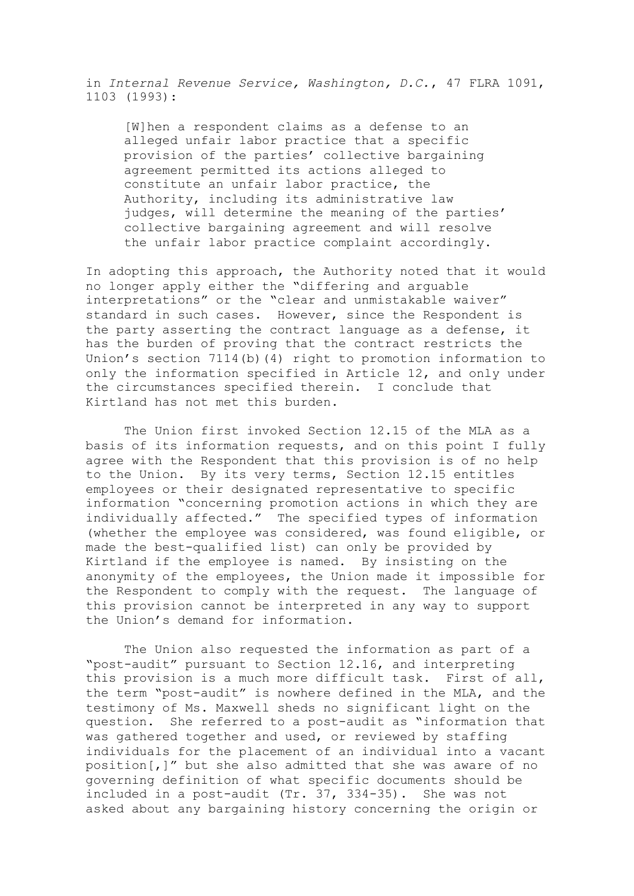in *Internal Revenue Service, Washington, D.C.*, 47 FLRA 1091, 1103 (1993):

[W]hen a respondent claims as a defense to an alleged unfair labor practice that a specific provision of the parties' collective bargaining agreement permitted its actions alleged to constitute an unfair labor practice, the Authority, including its administrative law judges, will determine the meaning of the parties' collective bargaining agreement and will resolve the unfair labor practice complaint accordingly.

In adopting this approach, the Authority noted that it would no longer apply either the "differing and arguable interpretations" or the "clear and unmistakable waiver" standard in such cases. However, since the Respondent is the party asserting the contract language as a defense, it has the burden of proving that the contract restricts the Union's section 7114(b)(4) right to promotion information to only the information specified in Article 12, and only under the circumstances specified therein. I conclude that Kirtland has not met this burden.

The Union first invoked Section 12.15 of the MLA as a basis of its information requests, and on this point I fully agree with the Respondent that this provision is of no help to the Union. By its very terms, Section 12.15 entitles employees or their designated representative to specific information "concerning promotion actions in which they are individually affected." The specified types of information (whether the employee was considered, was found eligible, or made the best-qualified list) can only be provided by Kirtland if the employee is named. By insisting on the anonymity of the employees, the Union made it impossible for the Respondent to comply with the request. The language of this provision cannot be interpreted in any way to support the Union's demand for information.

The Union also requested the information as part of a "post-audit" pursuant to Section 12.16, and interpreting this provision is a much more difficult task. First of all, the term "post-audit" is nowhere defined in the MLA, and the testimony of Ms. Maxwell sheds no significant light on the question. She referred to a post-audit as "information that was gathered together and used, or reviewed by staffing individuals for the placement of an individual into a vacant position[,]" but she also admitted that she was aware of no governing definition of what specific documents should be included in a post-audit (Tr. 37, 334-35). She was not asked about any bargaining history concerning the origin or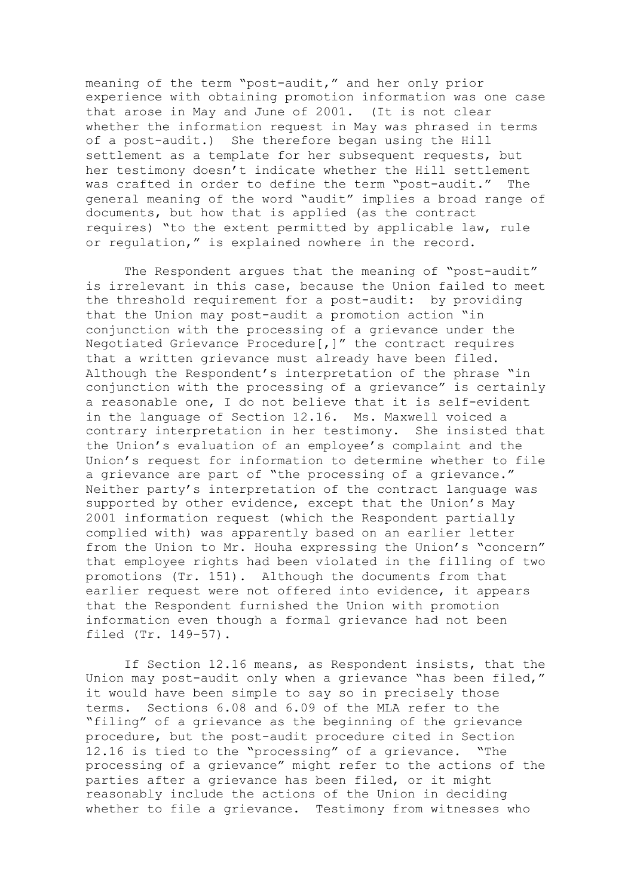meaning of the term "post-audit," and her only prior experience with obtaining promotion information was one case that arose in May and June of 2001. (It is not clear whether the information request in May was phrased in terms of a post-audit.) She therefore began using the Hill settlement as a template for her subsequent requests, but her testimony doesn't indicate whether the Hill settlement was crafted in order to define the term "post-audit." The general meaning of the word "audit" implies a broad range of documents, but how that is applied (as the contract requires) "to the extent permitted by applicable law, rule or regulation," is explained nowhere in the record.

The Respondent argues that the meaning of "post-audit" is irrelevant in this case, because the Union failed to meet the threshold requirement for a post-audit: by providing that the Union may post-audit a promotion action "in conjunction with the processing of a grievance under the Negotiated Grievance Procedure[,]" the contract requires that a written grievance must already have been filed. Although the Respondent's interpretation of the phrase "in conjunction with the processing of a grievance" is certainly a reasonable one, I do not believe that it is self-evident in the language of Section 12.16. Ms. Maxwell voiced a contrary interpretation in her testimony. She insisted that the Union's evaluation of an employee's complaint and the Union's request for information to determine whether to file a grievance are part of "the processing of a grievance." Neither party's interpretation of the contract language was supported by other evidence, except that the Union's May 2001 information request (which the Respondent partially complied with) was apparently based on an earlier letter from the Union to Mr. Houha expressing the Union's "concern" that employee rights had been violated in the filling of two promotions (Tr. 151). Although the documents from that earlier request were not offered into evidence, it appears that the Respondent furnished the Union with promotion information even though a formal grievance had not been filed (Tr. 149-57).

If Section 12.16 means, as Respondent insists, that the Union may post-audit only when a grievance "has been filed," it would have been simple to say so in precisely those terms. Sections 6.08 and 6.09 of the MLA refer to the "filing" of a grievance as the beginning of the grievance procedure, but the post-audit procedure cited in Section 12.16 is tied to the "processing" of a grievance. "The processing of a grievance" might refer to the actions of the parties after a grievance has been filed, or it might reasonably include the actions of the Union in deciding whether to file a grievance. Testimony from witnesses who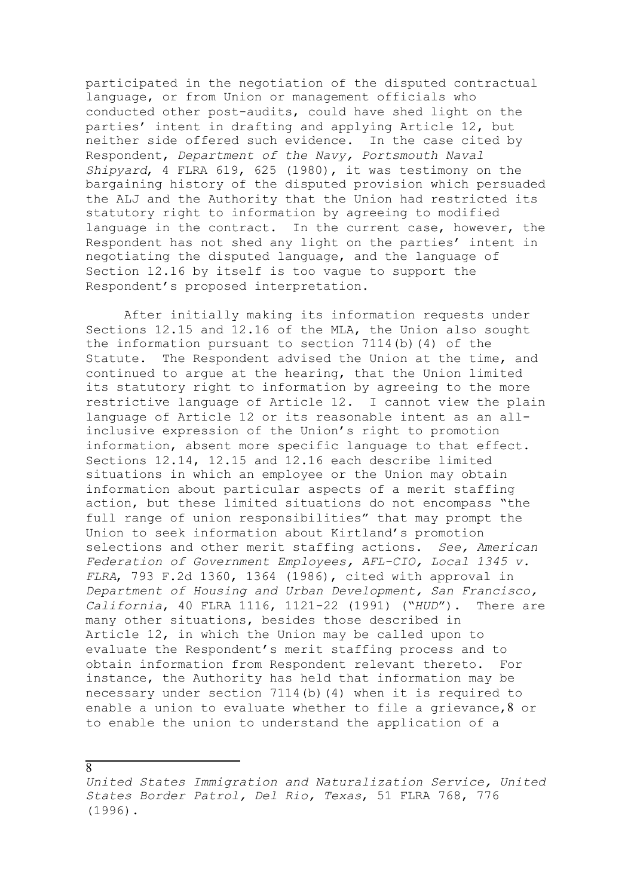participated in the negotiation of the disputed contractual language, or from Union or management officials who conducted other post-audits, could have shed light on the parties' intent in drafting and applying Article 12, but neither side offered such evidence. In the case cited by Respondent, *Department of the Navy, Portsmouth Naval Shipyard*, 4 FLRA 619, 625 (1980), it was testimony on the bargaining history of the disputed provision which persuaded the ALJ and the Authority that the Union had restricted its statutory right to information by agreeing to modified language in the contract. In the current case, however, the Respondent has not shed any light on the parties' intent in negotiating the disputed language, and the language of Section 12.16 by itself is too vague to support the Respondent's proposed interpretation.

After initially making its information requests under Sections 12.15 and 12.16 of the MLA, the Union also sought the information pursuant to section  $7114(b)(4)$  of the Statute. The Respondent advised the Union at the time, and continued to argue at the hearing, that the Union limited its statutory right to information by agreeing to the more restrictive language of Article 12. I cannot view the plain language of Article 12 or its reasonable intent as an allinclusive expression of the Union's right to promotion information, absent more specific language to that effect. Sections 12.14, 12.15 and 12.16 each describe limited situations in which an employee or the Union may obtain information about particular aspects of a merit staffing action, but these limited situations do not encompass "the full range of union responsibilities" that may prompt the Union to seek information about Kirtland's promotion selections and other merit staffing actions. *See, American Federation of Government Employees, AFL-CIO, Local 1345 v. FLRA*, 793 F.2d 1360, 1364 (1986), cited with approval in *Department of Housing and Urban Development, San Francisco, California*, 40 FLRA 1116, 1121-22 (1991) ("*HUD*"). There are many other situations, besides those described in Article 12, in which the Union may be called upon to evaluate the Respondent's merit staffing process and to obtain information from Respondent relevant thereto. For instance, the Authority has held that information may be necessary under section 7114(b)(4) when it is required to enable a union to evaluate whether to file a grievance,8 or to enable the union to understand the application of a

 $\overline{8}$ 

*United States Immigration and Naturalization Service, United States Border Patrol, Del Rio, Texas*, 51 FLRA 768, 776 (1996).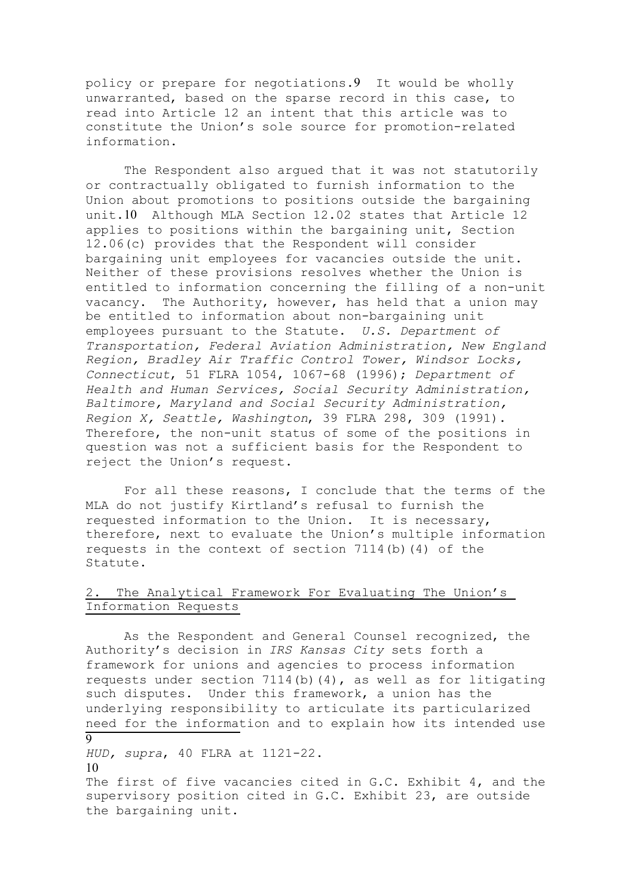policy or prepare for negotiations.9 It would be wholly unwarranted, based on the sparse record in this case, to read into Article 12 an intent that this article was to constitute the Union's sole source for promotion-related information.

The Respondent also argued that it was not statutorily or contractually obligated to furnish information to the Union about promotions to positions outside the bargaining unit.10 Although MLA Section 12.02 states that Article 12 applies to positions within the bargaining unit, Section 12.06(c) provides that the Respondent will consider bargaining unit employees for vacancies outside the unit. Neither of these provisions resolves whether the Union is entitled to information concerning the filling of a non-unit vacancy. The Authority, however, has held that a union may be entitled to information about non-bargaining unit employees pursuant to the Statute. *U.S. Department of Transportation, Federal Aviation Administration, New England Region, Bradley Air Traffic Control Tower, Windsor Locks, Connecticut*, 51 FLRA 1054, 1067-68 (1996); *Department of Health and Human Services, Social Security Administration, Baltimore, Maryland and Social Security Administration, Region X, Seattle, Washington*, 39 FLRA 298, 309 (1991). Therefore, the non-unit status of some of the positions in question was not a sufficient basis for the Respondent to reject the Union's request.

For all these reasons, I conclude that the terms of the MLA do not justify Kirtland's refusal to furnish the requested information to the Union. It is necessary, therefore, next to evaluate the Union's multiple information requests in the context of section 7114(b)(4) of the Statute.

# 2. The Analytical Framework For Evaluating The Union's Information Requests

As the Respondent and General Counsel recognized, the Authority's decision in *IRS Kansas City* sets forth a framework for unions and agencies to process information requests under section 7114(b)(4), as well as for litigating such disputes. Under this framework, a union has the underlying responsibility to articulate its particularized need for the information and to explain how its intended use  $\overline{9}$ 

*HUD, supra*, 40 FLRA at 1121-22. 10

The first of five vacancies cited in G.C. Exhibit 4, and the supervisory position cited in G.C. Exhibit 23, are outside the bargaining unit.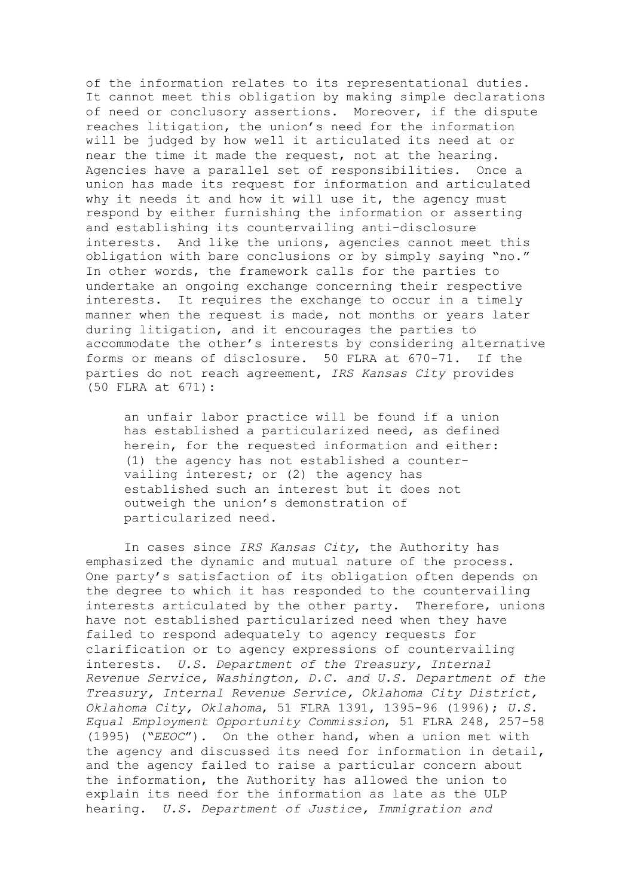of the information relates to its representational duties. It cannot meet this obligation by making simple declarations of need or conclusory assertions. Moreover, if the dispute reaches litigation, the union's need for the information will be judged by how well it articulated its need at or near the time it made the request, not at the hearing. Agencies have a parallel set of responsibilities. Once a union has made its request for information and articulated why it needs it and how it will use it, the agency must respond by either furnishing the information or asserting and establishing its countervailing anti-disclosure interests. And like the unions, agencies cannot meet this obligation with bare conclusions or by simply saying "no." In other words, the framework calls for the parties to undertake an ongoing exchange concerning their respective interests. It requires the exchange to occur in a timely manner when the request is made, not months or years later during litigation, and it encourages the parties to accommodate the other's interests by considering alternative forms or means of disclosure. 50 FLRA at 670-71. If the parties do not reach agreement, *IRS Kansas City* provides (50 FLRA at 671):

an unfair labor practice will be found if a union has established a particularized need, as defined herein, for the requested information and either: (1) the agency has not established a countervailing interest; or (2) the agency has established such an interest but it does not outweigh the union's demonstration of particularized need.

In cases since *IRS Kansas City*, the Authority has emphasized the dynamic and mutual nature of the process. One party's satisfaction of its obligation often depends on the degree to which it has responded to the countervailing interests articulated by the other party. Therefore, unions have not established particularized need when they have failed to respond adequately to agency requests for clarification or to agency expressions of countervailing interests. *U.S. Department of the Treasury, Internal Revenue Service, Washington, D.C. and U.S. Department of the Treasury, Internal Revenue Service, Oklahoma City District, Oklahoma City, Oklahoma*, 51 FLRA 1391, 1395-96 (1996); *U.S. Equal Employment Opportunity Commission*, 51 FLRA 248, 257-58 (1995) ("*EEOC*"). On the other hand, when a union met with the agency and discussed its need for information in detail, and the agency failed to raise a particular concern about the information, the Authority has allowed the union to explain its need for the information as late as the ULP hearing. *U.S. Department of Justice, Immigration and*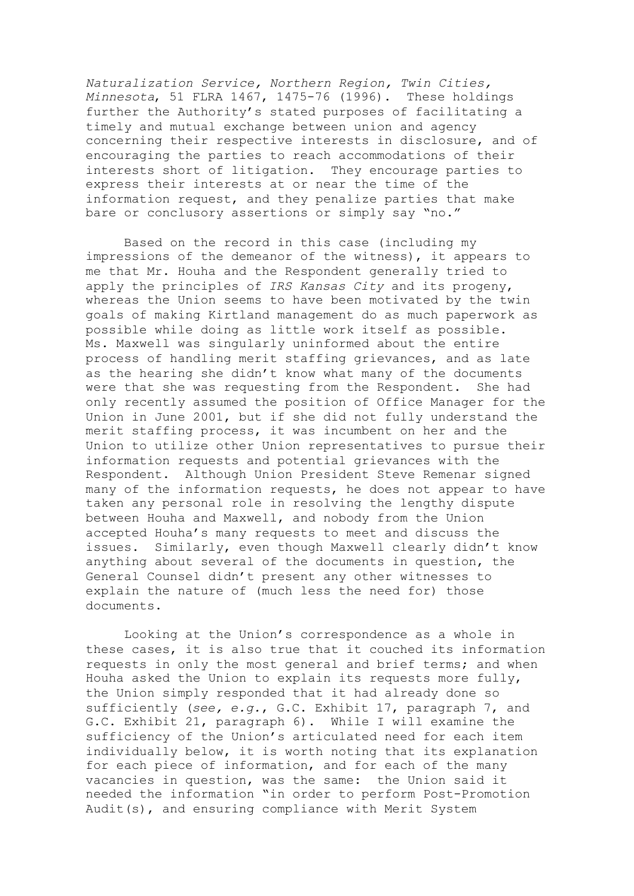*Naturalization Service, Northern Region, Twin Cities, Minnesota*, 51 FLRA 1467, 1475-76 (1996). These holdings further the Authority's stated purposes of facilitating a timely and mutual exchange between union and agency concerning their respective interests in disclosure, and of encouraging the parties to reach accommodations of their interests short of litigation. They encourage parties to express their interests at or near the time of the information request, and they penalize parties that make bare or conclusory assertions or simply say "no."

Based on the record in this case (including my impressions of the demeanor of the witness), it appears to me that Mr. Houha and the Respondent generally tried to apply the principles of *IRS Kansas City* and its progeny, whereas the Union seems to have been motivated by the twin goals of making Kirtland management do as much paperwork as possible while doing as little work itself as possible. Ms. Maxwell was singularly uninformed about the entire process of handling merit staffing grievances, and as late as the hearing she didn't know what many of the documents were that she was requesting from the Respondent. She had only recently assumed the position of Office Manager for the Union in June 2001, but if she did not fully understand the merit staffing process, it was incumbent on her and the Union to utilize other Union representatives to pursue their information requests and potential grievances with the Respondent. Although Union President Steve Remenar signed many of the information requests, he does not appear to have taken any personal role in resolving the lengthy dispute between Houha and Maxwell, and nobody from the Union accepted Houha's many requests to meet and discuss the issues. Similarly, even though Maxwell clearly didn't know anything about several of the documents in question, the General Counsel didn't present any other witnesses to explain the nature of (much less the need for) those documents.

Looking at the Union's correspondence as a whole in these cases, it is also true that it couched its information requests in only the most general and brief terms; and when Houha asked the Union to explain its requests more fully, the Union simply responded that it had already done so sufficiently (*see, e.g.*, G.C. Exhibit 17, paragraph 7, and G.C. Exhibit 21, paragraph 6). While I will examine the sufficiency of the Union's articulated need for each item individually below, it is worth noting that its explanation for each piece of information, and for each of the many vacancies in question, was the same: the Union said it needed the information "in order to perform Post-Promotion Audit(s), and ensuring compliance with Merit System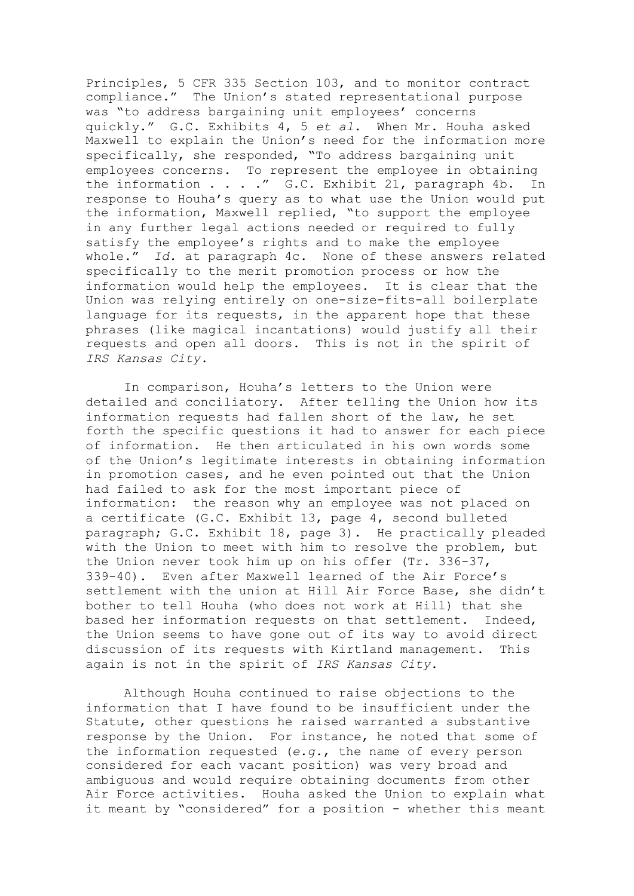Principles, 5 CFR 335 Section 103, and to monitor contract compliance." The Union's stated representational purpose was "to address bargaining unit employees' concerns quickly." G.C. Exhibits 4, 5 *et al*. When Mr. Houha asked Maxwell to explain the Union's need for the information more specifically, she responded, "To address bargaining unit employees concerns. To represent the employee in obtaining the information . . . ." G.C. Exhibit 21, paragraph 4b. In response to Houha's query as to what use the Union would put the information, Maxwell replied, "to support the employee in any further legal actions needed or required to fully satisfy the employee's rights and to make the employee whole." *Id.* at paragraph 4c. None of these answers related specifically to the merit promotion process or how the information would help the employees. It is clear that the Union was relying entirely on one-size-fits-all boilerplate language for its requests, in the apparent hope that these phrases (like magical incantations) would justify all their requests and open all doors. This is not in the spirit of *IRS Kansas City*.

In comparison, Houha's letters to the Union were detailed and conciliatory. After telling the Union how its information requests had fallen short of the law, he set forth the specific questions it had to answer for each piece of information. He then articulated in his own words some of the Union's legitimate interests in obtaining information in promotion cases, and he even pointed out that the Union had failed to ask for the most important piece of information: the reason why an employee was not placed on a certificate (G.C. Exhibit 13, page 4, second bulleted paragraph; G.C. Exhibit 18, page 3). He practically pleaded with the Union to meet with him to resolve the problem, but the Union never took him up on his offer (Tr. 336-37, 339-40). Even after Maxwell learned of the Air Force's settlement with the union at Hill Air Force Base, she didn't bother to tell Houha (who does not work at Hill) that she based her information requests on that settlement. Indeed, the Union seems to have gone out of its way to avoid direct discussion of its requests with Kirtland management. This again is not in the spirit of *IRS Kansas City*.

Although Houha continued to raise objections to the information that I have found to be insufficient under the Statute, other questions he raised warranted a substantive response by the Union. For instance, he noted that some of the information requested (*e.g.*, the name of every person considered for each vacant position) was very broad and ambiguous and would require obtaining documents from other Air Force activities. Houha asked the Union to explain what it meant by "considered" for a position - whether this meant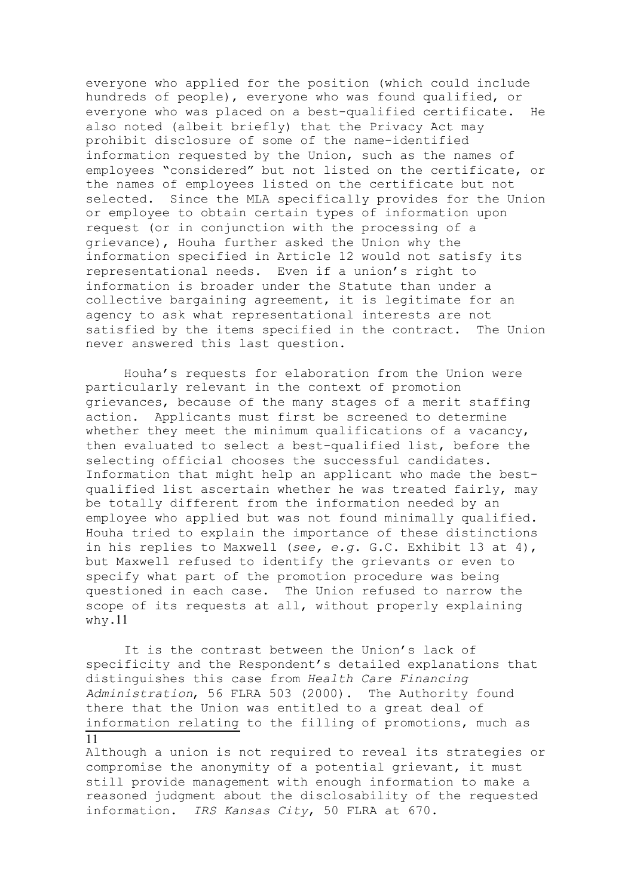everyone who applied for the position (which could include hundreds of people), everyone who was found qualified, or everyone who was placed on a best-qualified certificate. He also noted (albeit briefly) that the Privacy Act may prohibit disclosure of some of the name-identified information requested by the Union, such as the names of employees "considered" but not listed on the certificate, or the names of employees listed on the certificate but not selected. Since the MLA specifically provides for the Union or employee to obtain certain types of information upon request (or in conjunction with the processing of a grievance), Houha further asked the Union why the information specified in Article 12 would not satisfy its representational needs. Even if a union's right to information is broader under the Statute than under a collective bargaining agreement, it is legitimate for an agency to ask what representational interests are not satisfied by the items specified in the contract. The Union never answered this last question.

Houha's requests for elaboration from the Union were particularly relevant in the context of promotion grievances, because of the many stages of a merit staffing action. Applicants must first be screened to determine whether they meet the minimum qualifications of a vacancy, then evaluated to select a best-qualified list, before the selecting official chooses the successful candidates. Information that might help an applicant who made the bestqualified list ascertain whether he was treated fairly, may be totally different from the information needed by an employee who applied but was not found minimally qualified. Houha tried to explain the importance of these distinctions in his replies to Maxwell (*see, e.g*. G.C. Exhibit 13 at 4), but Maxwell refused to identify the grievants or even to specify what part of the promotion procedure was being questioned in each case. The Union refused to narrow the scope of its requests at all, without properly explaining why.11

It is the contrast between the Union's lack of specificity and the Respondent's detailed explanations that distinguishes this case from *Health Care Financing Administration*, 56 FLRA 503 (2000). The Authority found there that the Union was entitled to a great deal of information relating to the filling of promotions, much as

### 11

Although a union is not required to reveal its strategies or compromise the anonymity of a potential grievant, it must still provide management with enough information to make a reasoned judgment about the disclosability of the requested information. *IRS Kansas City*, 50 FLRA at 670.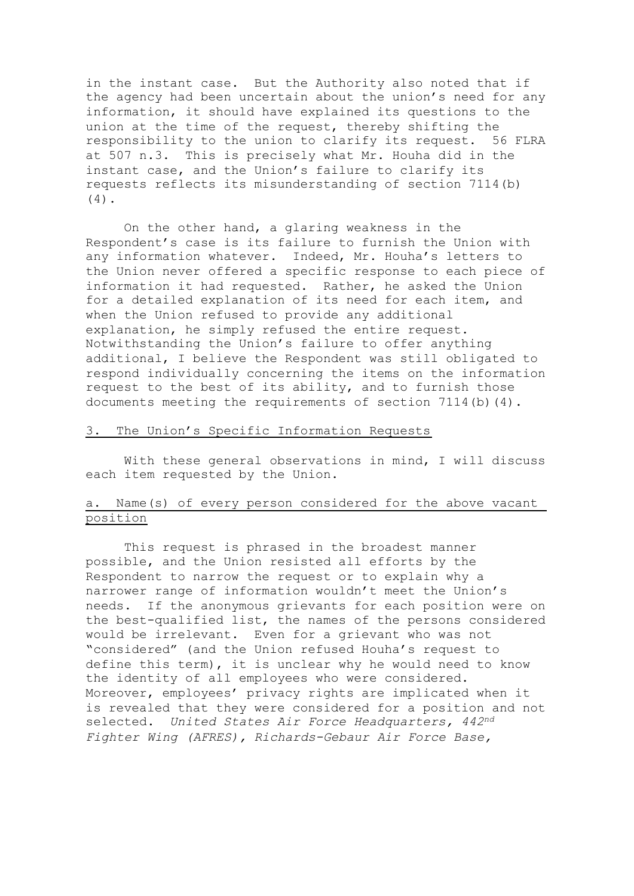in the instant case. But the Authority also noted that if the agency had been uncertain about the union's need for any information, it should have explained its questions to the union at the time of the request, thereby shifting the responsibility to the union to clarify its request. 56 FLRA at 507 n.3. This is precisely what Mr. Houha did in the instant case, and the Union's failure to clarify its requests reflects its misunderstanding of section 7114(b) (4).

On the other hand, a glaring weakness in the Respondent's case is its failure to furnish the Union with any information whatever. Indeed, Mr. Houha's letters to the Union never offered a specific response to each piece of information it had requested. Rather, he asked the Union for a detailed explanation of its need for each item, and when the Union refused to provide any additional explanation, he simply refused the entire request. Notwithstanding the Union's failure to offer anything additional, I believe the Respondent was still obligated to respond individually concerning the items on the information request to the best of its ability, and to furnish those documents meeting the requirements of section 7114(b)(4).

### 3. The Union's Specific Information Requests

With these general observations in mind, I will discuss each item requested by the Union.

### a. Name(s) of every person considered for the above vacant position

This request is phrased in the broadest manner possible, and the Union resisted all efforts by the Respondent to narrow the request or to explain why a narrower range of information wouldn't meet the Union's needs. If the anonymous grievants for each position were on the best-qualified list, the names of the persons considered would be irrelevant. Even for a grievant who was not "considered" (and the Union refused Houha's request to define this term), it is unclear why he would need to know the identity of all employees who were considered. Moreover, employees' privacy rights are implicated when it is revealed that they were considered for a position and not selected. *United States Air Force Headquarters, 442nd Fighter Wing (AFRES), Richards-Gebaur Air Force Base,*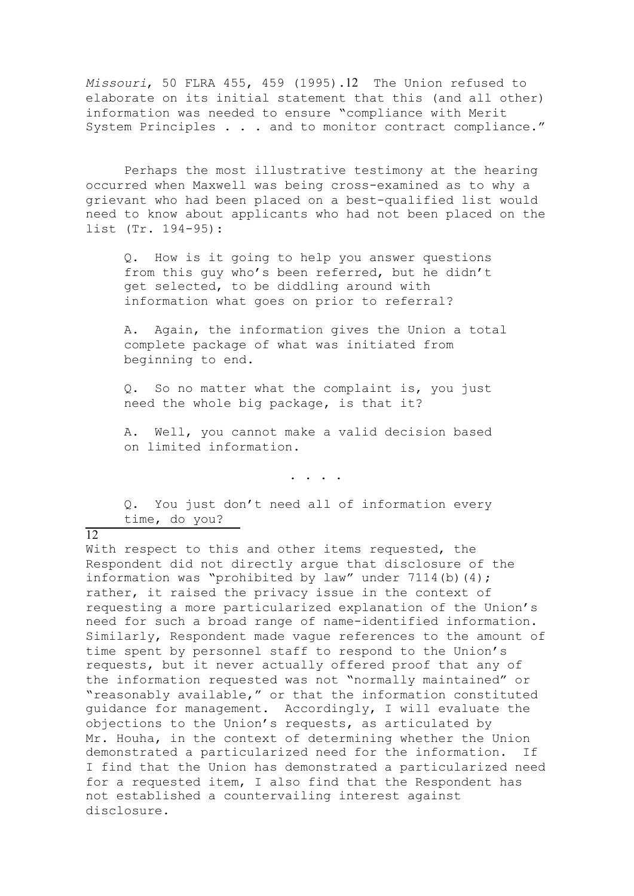*Missouri*, 50 FLRA 455, 459 (1995).12 The Union refused to elaborate on its initial statement that this (and all other) information was needed to ensure "compliance with Merit System Principles . . . and to monitor contract compliance."

Perhaps the most illustrative testimony at the hearing occurred when Maxwell was being cross-examined as to why a grievant who had been placed on a best-qualified list would need to know about applicants who had not been placed on the list (Tr. 194-95):

Q. How is it going to help you answer questions from this guy who's been referred, but he didn't get selected, to be diddling around with information what goes on prior to referral?

A. Again, the information gives the Union a total complete package of what was initiated from beginning to end.

Q. So no matter what the complaint is, you just need the whole big package, is that it?

A. Well, you cannot make a valid decision based on limited information.

. . . .

Q. You just don't need all of information every time, do you?

12

With respect to this and other items requested, the Respondent did not directly argue that disclosure of the information was "prohibited by law" under 7114(b)(4); rather, it raised the privacy issue in the context of requesting a more particularized explanation of the Union's need for such a broad range of name-identified information. Similarly, Respondent made vague references to the amount of time spent by personnel staff to respond to the Union's requests, but it never actually offered proof that any of the information requested was not "normally maintained" or "reasonably available," or that the information constituted guidance for management. Accordingly, I will evaluate the objections to the Union's requests, as articulated by Mr. Houha, in the context of determining whether the Union demonstrated a particularized need for the information. If I find that the Union has demonstrated a particularized need for a requested item, I also find that the Respondent has not established a countervailing interest against disclosure.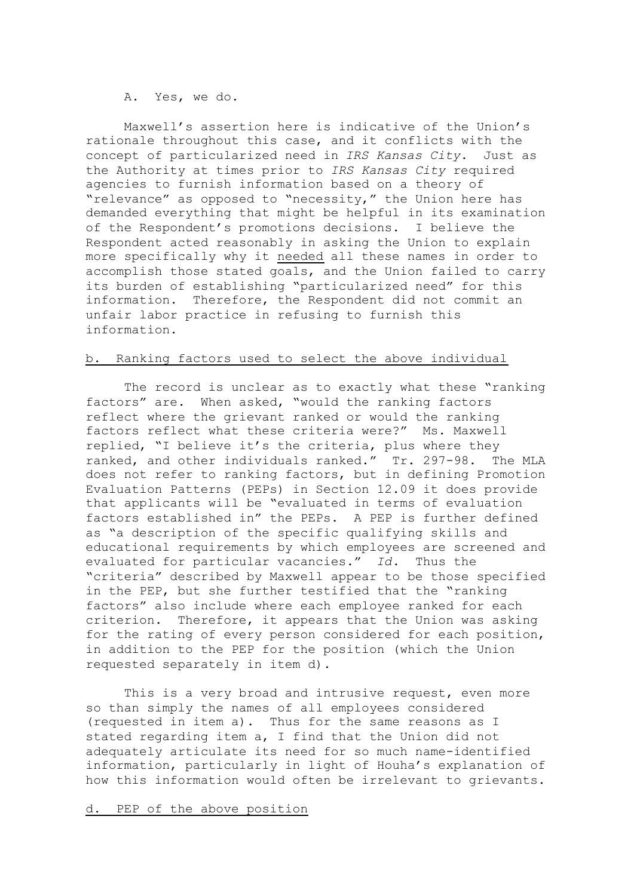#### A. Yes, we do.

Maxwell's assertion here is indicative of the Union's rationale throughout this case, and it conflicts with the concept of particularized need in *IRS Kansas City*. Just as the Authority at times prior to *IRS Kansas City* required agencies to furnish information based on a theory of "relevance" as opposed to "necessity," the Union here has demanded everything that might be helpful in its examination of the Respondent's promotions decisions. I believe the Respondent acted reasonably in asking the Union to explain more specifically why it needed all these names in order to accomplish those stated goals, and the Union failed to carry its burden of establishing "particularized need" for this information. Therefore, the Respondent did not commit an unfair labor practice in refusing to furnish this information.

### b. Ranking factors used to select the above individual

The record is unclear as to exactly what these "ranking factors" are. When asked, "would the ranking factors reflect where the grievant ranked or would the ranking factors reflect what these criteria were?" Ms. Maxwell replied, "I believe it's the criteria, plus where they ranked, and other individuals ranked." Tr. 297-98. The MLA does not refer to ranking factors, but in defining Promotion Evaluation Patterns (PEPs) in Section 12.09 it does provide that applicants will be "evaluated in terms of evaluation factors established in" the PEPs. A PEP is further defined as "a description of the specific qualifying skills and educational requirements by which employees are screened and evaluated for particular vacancies." *Id*. Thus the "criteria" described by Maxwell appear to be those specified in the PEP, but she further testified that the "ranking factors" also include where each employee ranked for each criterion. Therefore, it appears that the Union was asking for the rating of every person considered for each position, in addition to the PEP for the position (which the Union requested separately in item d).

This is a very broad and intrusive request, even more so than simply the names of all employees considered (requested in item a). Thus for the same reasons as I stated regarding item a, I find that the Union did not adequately articulate its need for so much name-identified information, particularly in light of Houha's explanation of how this information would often be irrelevant to grievants.

### d. PEP of the above position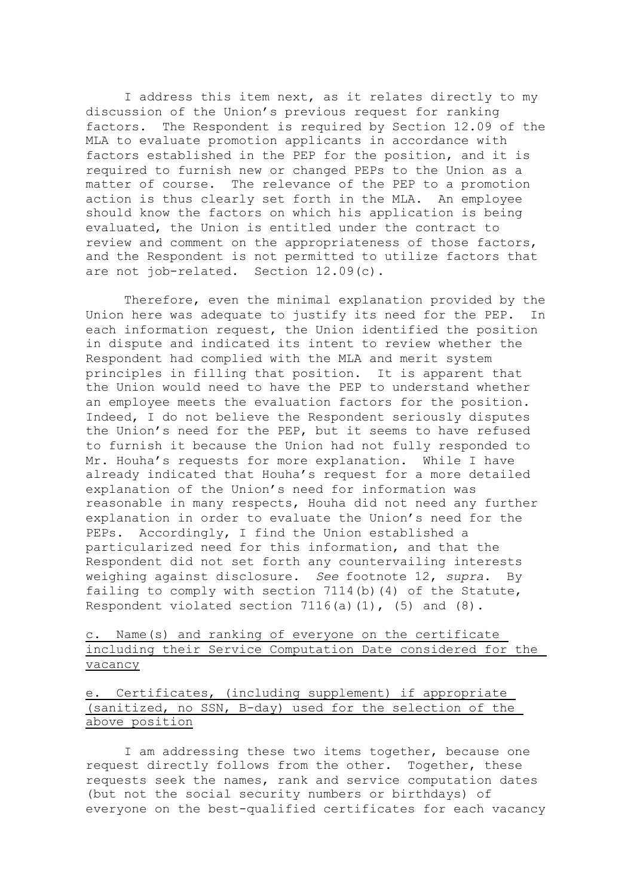I address this item next, as it relates directly to my discussion of the Union's previous request for ranking factors. The Respondent is required by Section 12.09 of the MLA to evaluate promotion applicants in accordance with factors established in the PEP for the position, and it is required to furnish new or changed PEPs to the Union as a matter of course. The relevance of the PEP to a promotion action is thus clearly set forth in the MLA. An employee should know the factors on which his application is being evaluated, the Union is entitled under the contract to review and comment on the appropriateness of those factors, and the Respondent is not permitted to utilize factors that are not job-related. Section 12.09(c).

Therefore, even the minimal explanation provided by the Union here was adequate to justify its need for the PEP. In each information request, the Union identified the position in dispute and indicated its intent to review whether the Respondent had complied with the MLA and merit system principles in filling that position. It is apparent that the Union would need to have the PEP to understand whether an employee meets the evaluation factors for the position. Indeed, I do not believe the Respondent seriously disputes the Union's need for the PEP, but it seems to have refused to furnish it because the Union had not fully responded to Mr. Houha's requests for more explanation. While I have already indicated that Houha's request for a more detailed explanation of the Union's need for information was reasonable in many respects, Houha did not need any further explanation in order to evaluate the Union's need for the PEPs. Accordingly, I find the Union established a particularized need for this information, and that the Respondent did not set forth any countervailing interests weighing against disclosure. *See* footnote 12, *supra*. By failing to comply with section 7114(b)(4) of the Statute, Respondent violated section  $7116(a)(1)$ ,  $(5)$  and  $(8)$ .

# c. Name(s) and ranking of everyone on the certificate including their Service Computation Date considered for the vacancy

e. Certificates, (including supplement) if appropriate (sanitized, no SSN, B-day) used for the selection of the above position

I am addressing these two items together, because one request directly follows from the other. Together, these requests seek the names, rank and service computation dates (but not the social security numbers or birthdays) of everyone on the best-qualified certificates for each vacancy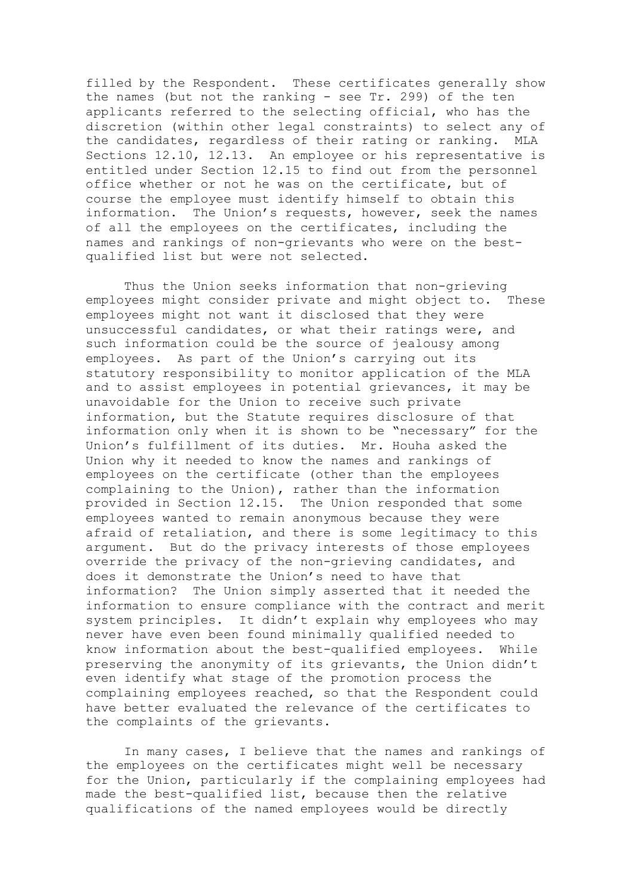filled by the Respondent. These certificates generally show the names (but not the ranking - see Tr. 299) of the ten applicants referred to the selecting official, who has the discretion (within other legal constraints) to select any of the candidates, regardless of their rating or ranking. MLA Sections 12.10, 12.13. An employee or his representative is entitled under Section 12.15 to find out from the personnel office whether or not he was on the certificate, but of course the employee must identify himself to obtain this information. The Union's requests, however, seek the names of all the employees on the certificates, including the names and rankings of non-grievants who were on the bestqualified list but were not selected.

Thus the Union seeks information that non-grieving employees might consider private and might object to. These employees might not want it disclosed that they were unsuccessful candidates, or what their ratings were, and such information could be the source of jealousy among employees. As part of the Union's carrying out its statutory responsibility to monitor application of the MLA and to assist employees in potential grievances, it may be unavoidable for the Union to receive such private information, but the Statute requires disclosure of that information only when it is shown to be "necessary" for the Union's fulfillment of its duties. Mr. Houha asked the Union why it needed to know the names and rankings of employees on the certificate (other than the employees complaining to the Union), rather than the information provided in Section 12.15. The Union responded that some employees wanted to remain anonymous because they were afraid of retaliation, and there is some legitimacy to this argument. But do the privacy interests of those employees override the privacy of the non-grieving candidates, and does it demonstrate the Union's need to have that information? The Union simply asserted that it needed the information to ensure compliance with the contract and merit system principles. It didn't explain why employees who may never have even been found minimally qualified needed to know information about the best-qualified employees. While preserving the anonymity of its grievants, the Union didn't even identify what stage of the promotion process the complaining employees reached, so that the Respondent could have better evaluated the relevance of the certificates to the complaints of the grievants.

In many cases, I believe that the names and rankings of the employees on the certificates might well be necessary for the Union, particularly if the complaining employees had made the best-qualified list, because then the relative qualifications of the named employees would be directly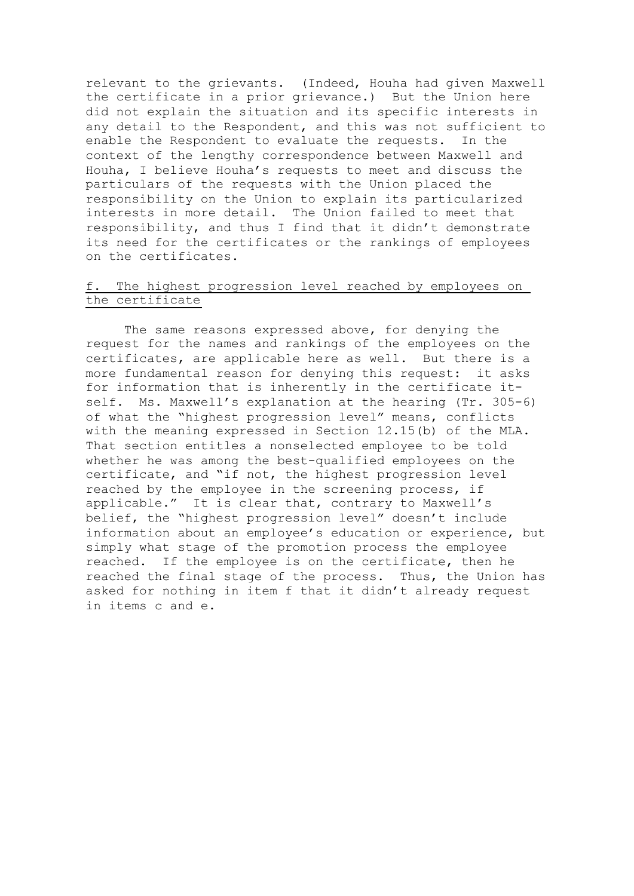relevant to the grievants. (Indeed, Houha had given Maxwell the certificate in a prior grievance.) But the Union here did not explain the situation and its specific interests in any detail to the Respondent, and this was not sufficient to enable the Respondent to evaluate the requests. In the context of the lengthy correspondence between Maxwell and Houha, I believe Houha's requests to meet and discuss the particulars of the requests with the Union placed the responsibility on the Union to explain its particularized interests in more detail. The Union failed to meet that responsibility, and thus I find that it didn't demonstrate its need for the certificates or the rankings of employees on the certificates.

# f. The highest progression level reached by employees on the certificate

The same reasons expressed above, for denying the request for the names and rankings of the employees on the certificates, are applicable here as well. But there is a more fundamental reason for denying this request: it asks for information that is inherently in the certificate itself. Ms. Maxwell's explanation at the hearing (Tr. 305-6) of what the "highest progression level" means, conflicts with the meaning expressed in Section 12.15(b) of the MLA. That section entitles a nonselected employee to be told whether he was among the best-qualified employees on the certificate, and "if not, the highest progression level reached by the employee in the screening process, if applicable." It is clear that, contrary to Maxwell's belief, the "highest progression level" doesn't include information about an employee's education or experience, but simply what stage of the promotion process the employee reached. If the employee is on the certificate, then he reached the final stage of the process. Thus, the Union has asked for nothing in item f that it didn't already request in items c and e.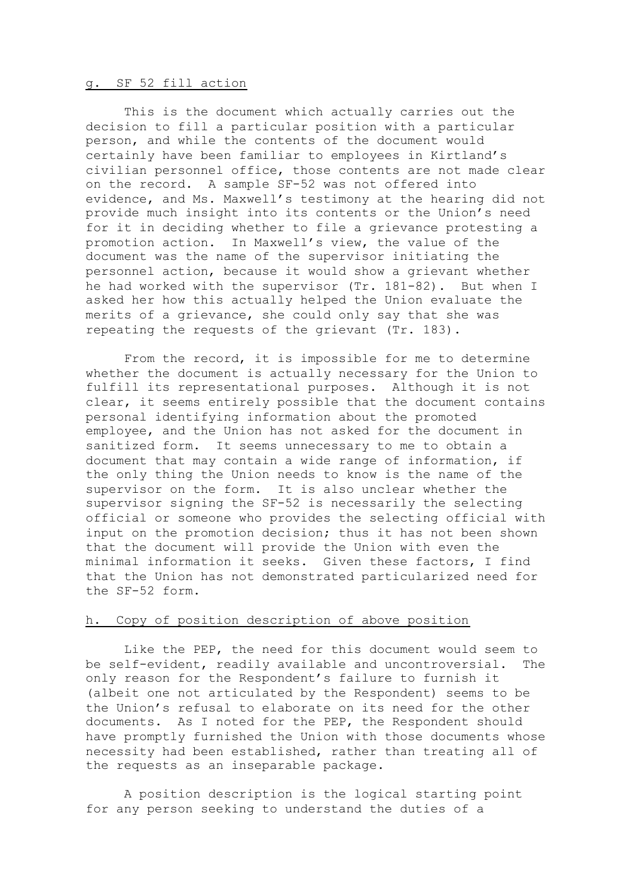### g. SF 52 fill action

This is the document which actually carries out the decision to fill a particular position with a particular person, and while the contents of the document would certainly have been familiar to employees in Kirtland's civilian personnel office, those contents are not made clear on the record. A sample SF-52 was not offered into evidence, and Ms. Maxwell's testimony at the hearing did not provide much insight into its contents or the Union's need for it in deciding whether to file a grievance protesting a promotion action. In Maxwell's view, the value of the document was the name of the supervisor initiating the personnel action, because it would show a grievant whether he had worked with the supervisor (Tr. 181-82). But when I asked her how this actually helped the Union evaluate the merits of a grievance, she could only say that she was repeating the requests of the grievant (Tr. 183).

From the record, it is impossible for me to determine whether the document is actually necessary for the Union to fulfill its representational purposes. Although it is not clear, it seems entirely possible that the document contains personal identifying information about the promoted employee, and the Union has not asked for the document in sanitized form. It seems unnecessary to me to obtain a document that may contain a wide range of information, if the only thing the Union needs to know is the name of the supervisor on the form. It is also unclear whether the supervisor signing the SF-52 is necessarily the selecting official or someone who provides the selecting official with input on the promotion decision; thus it has not been shown that the document will provide the Union with even the minimal information it seeks. Given these factors, I find that the Union has not demonstrated particularized need for the SF-52 form.

### h. Copy of position description of above position

Like the PEP, the need for this document would seem to be self-evident, readily available and uncontroversial. The only reason for the Respondent's failure to furnish it (albeit one not articulated by the Respondent) seems to be the Union's refusal to elaborate on its need for the other documents. As I noted for the PEP, the Respondent should have promptly furnished the Union with those documents whose necessity had been established, rather than treating all of the requests as an inseparable package.

A position description is the logical starting point for any person seeking to understand the duties of a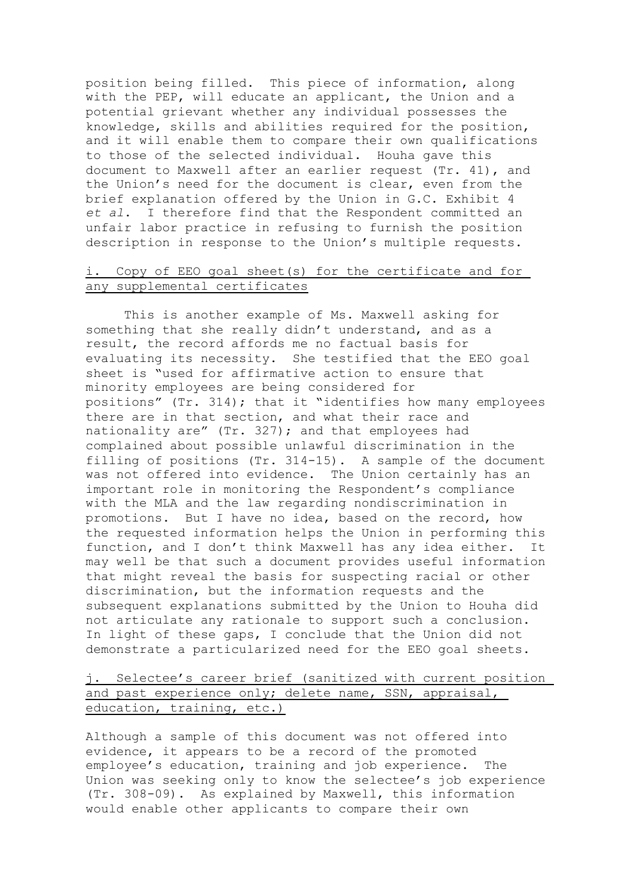position being filled. This piece of information, along with the PEP, will educate an applicant, the Union and a potential grievant whether any individual possesses the knowledge, skills and abilities required for the position, and it will enable them to compare their own qualifications to those of the selected individual. Houha gave this document to Maxwell after an earlier request (Tr. 41), and the Union's need for the document is clear, even from the brief explanation offered by the Union in G.C. Exhibit 4 *et al*. I therefore find that the Respondent committed an unfair labor practice in refusing to furnish the position description in response to the Union's multiple requests.

# i. Copy of EEO goal sheet(s) for the certificate and for any supplemental certificates

This is another example of Ms. Maxwell asking for something that she really didn't understand, and as a result, the record affords me no factual basis for evaluating its necessity. She testified that the EEO goal sheet is "used for affirmative action to ensure that minority employees are being considered for positions" (Tr. 314); that it "identifies how many employees there are in that section, and what their race and nationality are" (Tr. 327); and that employees had complained about possible unlawful discrimination in the filling of positions (Tr. 314-15). A sample of the document was not offered into evidence. The Union certainly has an important role in monitoring the Respondent's compliance with the MLA and the law regarding nondiscrimination in promotions. But I have no idea, based on the record, how the requested information helps the Union in performing this function, and I don't think Maxwell has any idea either. It may well be that such a document provides useful information that might reveal the basis for suspecting racial or other discrimination, but the information requests and the subsequent explanations submitted by the Union to Houha did not articulate any rationale to support such a conclusion. In light of these gaps, I conclude that the Union did not demonstrate a particularized need for the EEO goal sheets.

# j. Selectee's career brief (sanitized with current position and past experience only; delete name, SSN, appraisal, education, training, etc.)

Although a sample of this document was not offered into evidence, it appears to be a record of the promoted employee's education, training and job experience. The Union was seeking only to know the selectee's job experience (Tr. 308-09). As explained by Maxwell, this information would enable other applicants to compare their own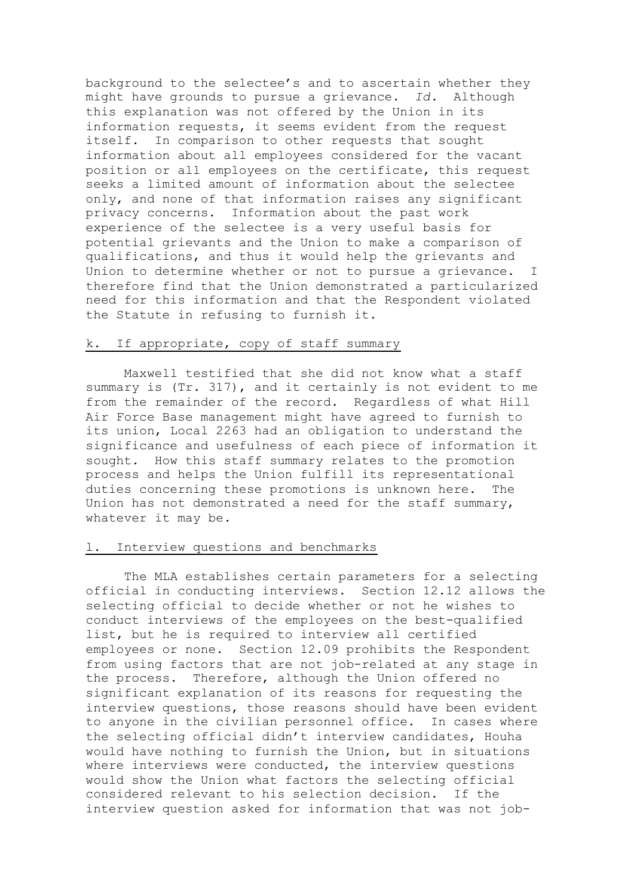background to the selectee's and to ascertain whether they might have grounds to pursue a grievance. *Id*. Although this explanation was not offered by the Union in its information requests, it seems evident from the request itself. In comparison to other requests that sought information about all employees considered for the vacant position or all employees on the certificate, this request seeks a limited amount of information about the selectee only, and none of that information raises any significant privacy concerns. Information about the past work experience of the selectee is a very useful basis for potential grievants and the Union to make a comparison of qualifications, and thus it would help the grievants and Union to determine whether or not to pursue a grievance. I therefore find that the Union demonstrated a particularized need for this information and that the Respondent violated the Statute in refusing to furnish it.

### k. If appropriate, copy of staff summary

Maxwell testified that she did not know what a staff summary is (Tr. 317), and it certainly is not evident to me from the remainder of the record. Regardless of what Hill Air Force Base management might have agreed to furnish to its union, Local 2263 had an obligation to understand the significance and usefulness of each piece of information it sought. How this staff summary relates to the promotion process and helps the Union fulfill its representational duties concerning these promotions is unknown here. The Union has not demonstrated a need for the staff summary, whatever it may be.

### l. Interview questions and benchmarks

The MLA establishes certain parameters for a selecting official in conducting interviews. Section 12.12 allows the selecting official to decide whether or not he wishes to conduct interviews of the employees on the best-qualified list, but he is required to interview all certified employees or none. Section 12.09 prohibits the Respondent from using factors that are not job-related at any stage in the process. Therefore, although the Union offered no significant explanation of its reasons for requesting the interview questions, those reasons should have been evident to anyone in the civilian personnel office. In cases where the selecting official didn't interview candidates, Houha would have nothing to furnish the Union, but in situations where interviews were conducted, the interview questions would show the Union what factors the selecting official considered relevant to his selection decision. If the interview question asked for information that was not job-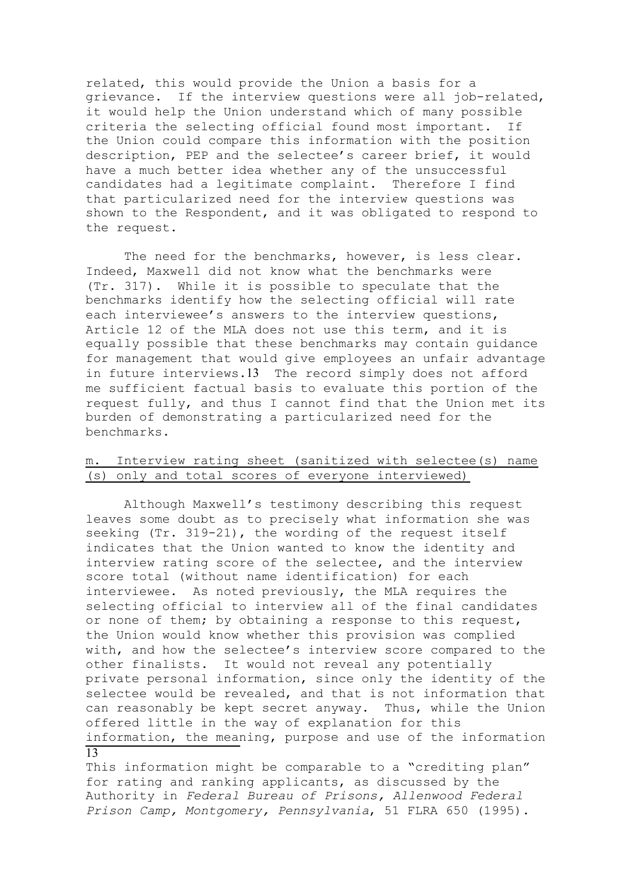related, this would provide the Union a basis for a grievance. If the interview questions were all job-related, it would help the Union understand which of many possible criteria the selecting official found most important. If the Union could compare this information with the position description, PEP and the selectee's career brief, it would have a much better idea whether any of the unsuccessful candidates had a legitimate complaint. Therefore I find that particularized need for the interview questions was shown to the Respondent, and it was obligated to respond to the request.

The need for the benchmarks, however, is less clear. Indeed, Maxwell did not know what the benchmarks were (Tr. 317). While it is possible to speculate that the benchmarks identify how the selecting official will rate each interviewee's answers to the interview questions, Article 12 of the MLA does not use this term, and it is equally possible that these benchmarks may contain guidance for management that would give employees an unfair advantage in future interviews.13 The record simply does not afford me sufficient factual basis to evaluate this portion of the request fully, and thus I cannot find that the Union met its burden of demonstrating a particularized need for the benchmarks.

# m. Interview rating sheet (sanitized with selectee(s) name (s) only and total scores of everyone interviewed)

Although Maxwell's testimony describing this request leaves some doubt as to precisely what information she was seeking (Tr. 319-21), the wording of the request itself indicates that the Union wanted to know the identity and interview rating score of the selectee, and the interview score total (without name identification) for each interviewee. As noted previously, the MLA requires the selecting official to interview all of the final candidates or none of them; by obtaining a response to this request, the Union would know whether this provision was complied with, and how the selectee's interview score compared to the other finalists. It would not reveal any potentially private personal information, since only the identity of the selectee would be revealed, and that is not information that can reasonably be kept secret anyway. Thus, while the Union offered little in the way of explanation for this information, the meaning, purpose and use of the information 13

This information might be comparable to a "crediting plan" for rating and ranking applicants, as discussed by the Authority in *Federal Bureau of Prisons, Allenwood Federal Prison Camp, Montgomery, Pennsylvania*, 51 FLRA 650 (1995).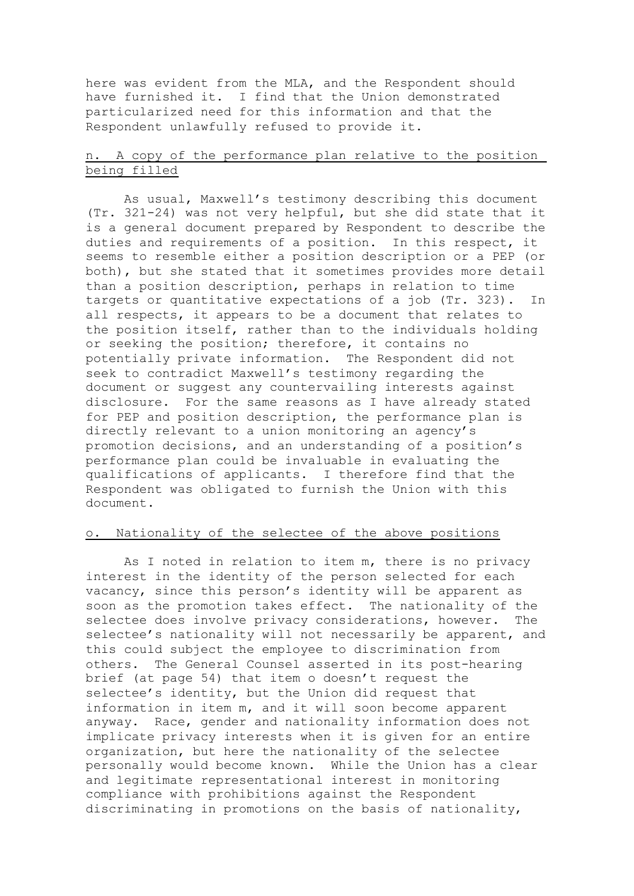here was evident from the MLA, and the Respondent should have furnished it. I find that the Union demonstrated particularized need for this information and that the Respondent unlawfully refused to provide it.

# n. A copy of the performance plan relative to the position being filled

As usual, Maxwell's testimony describing this document (Tr. 321-24) was not very helpful, but she did state that it is a general document prepared by Respondent to describe the duties and requirements of a position. In this respect, it seems to resemble either a position description or a PEP (or both), but she stated that it sometimes provides more detail than a position description, perhaps in relation to time targets or quantitative expectations of a job (Tr. 323). In all respects, it appears to be a document that relates to the position itself, rather than to the individuals holding or seeking the position; therefore, it contains no potentially private information. The Respondent did not seek to contradict Maxwell's testimony regarding the document or suggest any countervailing interests against disclosure. For the same reasons as I have already stated for PEP and position description, the performance plan is directly relevant to a union monitoring an agency's promotion decisions, and an understanding of a position's performance plan could be invaluable in evaluating the qualifications of applicants. I therefore find that the Respondent was obligated to furnish the Union with this document.

### o. Nationality of the selectee of the above positions

As I noted in relation to item m, there is no privacy interest in the identity of the person selected for each vacancy, since this person's identity will be apparent as soon as the promotion takes effect. The nationality of the selectee does involve privacy considerations, however. The selectee's nationality will not necessarily be apparent, and this could subject the employee to discrimination from others. The General Counsel asserted in its post-hearing brief (at page 54) that item o doesn't request the selectee's identity, but the Union did request that information in item m, and it will soon become apparent anyway. Race, gender and nationality information does not implicate privacy interests when it is given for an entire organization, but here the nationality of the selectee personally would become known. While the Union has a clear and legitimate representational interest in monitoring compliance with prohibitions against the Respondent discriminating in promotions on the basis of nationality,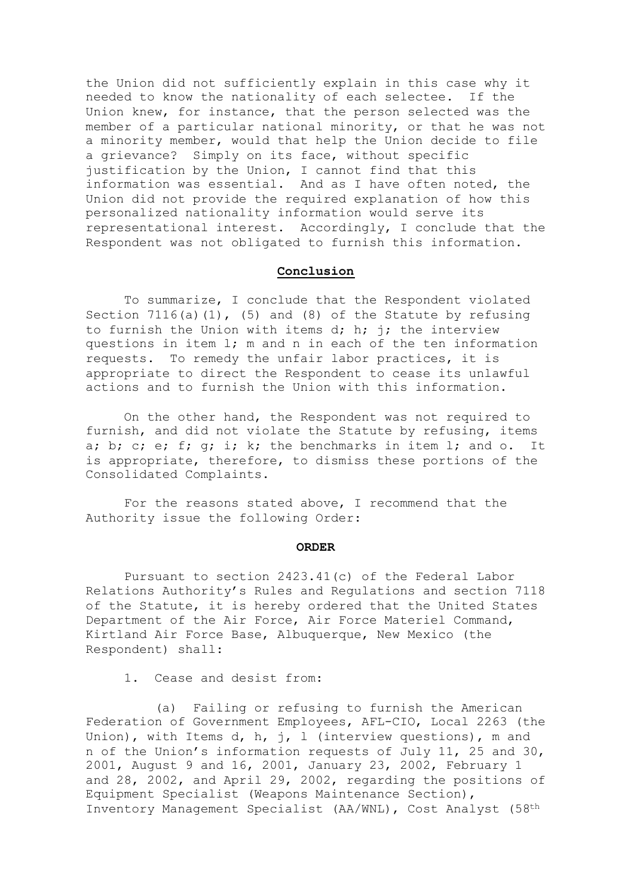the Union did not sufficiently explain in this case why it needed to know the nationality of each selectee. If the Union knew, for instance, that the person selected was the member of a particular national minority, or that he was not a minority member, would that help the Union decide to file a grievance? Simply on its face, without specific justification by the Union, I cannot find that this information was essential. And as I have often noted, the Union did not provide the required explanation of how this personalized nationality information would serve its representational interest. Accordingly, I conclude that the Respondent was not obligated to furnish this information.

### **Conclusion**

To summarize, I conclude that the Respondent violated Section  $7116(a)(1)$ , (5) and (8) of the Statute by refusing to furnish the Union with items  $d$ ; h; j; the interview questions in item l; m and n in each of the ten information requests. To remedy the unfair labor practices, it is appropriate to direct the Respondent to cease its unlawful actions and to furnish the Union with this information.

On the other hand, the Respondent was not required to furnish, and did not violate the Statute by refusing, items a; b; c; e; f; q; i; k; the benchmarks in item 1; and o. It is appropriate, therefore, to dismiss these portions of the Consolidated Complaints.

For the reasons stated above, I recommend that the Authority issue the following Order:

#### **ORDER**

Pursuant to section 2423.41(c) of the Federal Labor Relations Authority's Rules and Regulations and section 7118 of the Statute, it is hereby ordered that the United States Department of the Air Force, Air Force Materiel Command, Kirtland Air Force Base, Albuquerque, New Mexico (the Respondent) shall:

1. Cease and desist from:

 (a) Failing or refusing to furnish the American Federation of Government Employees, AFL-CIO, Local 2263 (the Union), with Items d, h, j, l (interview questions), m and n of the Union's information requests of July 11, 25 and 30, 2001, August 9 and 16, 2001, January 23, 2002, February 1 and 28, 2002, and April 29, 2002, regarding the positions of Equipment Specialist (Weapons Maintenance Section), Inventory Management Specialist (AA/WNL), Cost Analyst (58th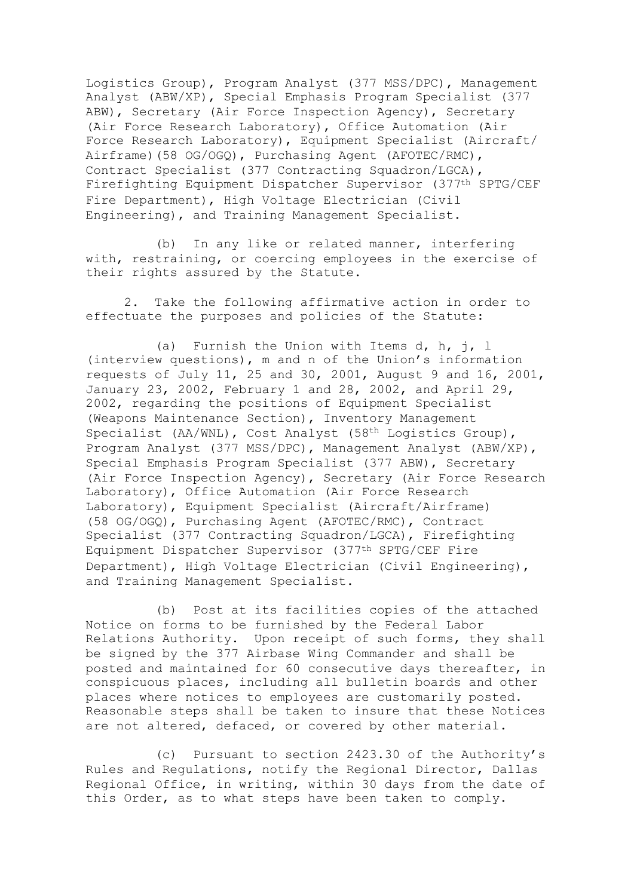Logistics Group), Program Analyst (377 MSS/DPC), Management Analyst (ABW/XP), Special Emphasis Program Specialist (377 ABW), Secretary (Air Force Inspection Agency), Secretary (Air Force Research Laboratory), Office Automation (Air Force Research Laboratory), Equipment Specialist (Aircraft/ Airframe)(58 OG/OGQ), Purchasing Agent (AFOTEC/RMC), Contract Specialist (377 Contracting Squadron/LGCA), Firefighting Equipment Dispatcher Supervisor (377th SPTG/CEF Fire Department), High Voltage Electrician (Civil Engineering), and Training Management Specialist.

 (b) In any like or related manner, interfering with, restraining, or coercing employees in the exercise of their rights assured by the Statute.

2. Take the following affirmative action in order to effectuate the purposes and policies of the Statute:

(a) Furnish the Union with Items  $d$ ,  $h$ ,  $j$ ,  $l$ (interview questions), m and n of the Union's information requests of July 11, 25 and 30, 2001, August 9 and 16, 2001, January 23, 2002, February 1 and 28, 2002, and April 29, 2002, regarding the positions of Equipment Specialist (Weapons Maintenance Section), Inventory Management Specialist (AA/WNL), Cost Analyst (58<sup>th</sup> Logistics Group), Program Analyst (377 MSS/DPC), Management Analyst (ABW/XP), Special Emphasis Program Specialist (377 ABW), Secretary (Air Force Inspection Agency), Secretary (Air Force Research Laboratory), Office Automation (Air Force Research Laboratory), Equipment Specialist (Aircraft/Airframe) (58 OG/OGQ), Purchasing Agent (AFOTEC/RMC), Contract Specialist (377 Contracting Squadron/LGCA), Firefighting Equipment Dispatcher Supervisor (377th SPTG/CEF Fire Department), High Voltage Electrician (Civil Engineering), and Training Management Specialist.

 (b) Post at its facilities copies of the attached Notice on forms to be furnished by the Federal Labor Relations Authority. Upon receipt of such forms, they shall be signed by the 377 Airbase Wing Commander and shall be posted and maintained for 60 consecutive days thereafter, in conspicuous places, including all bulletin boards and other places where notices to employees are customarily posted. Reasonable steps shall be taken to insure that these Notices are not altered, defaced, or covered by other material.

 (c) Pursuant to section 2423.30 of the Authority's Rules and Regulations, notify the Regional Director, Dallas Regional Office, in writing, within 30 days from the date of this Order, as to what steps have been taken to comply.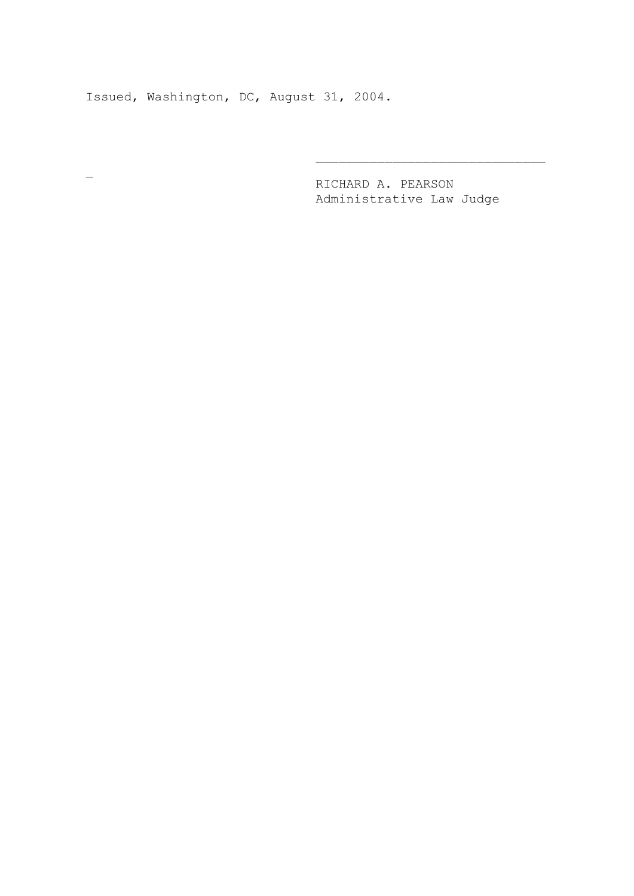Issued, Washington, DC, August 31, 2004.

 $\overline{\phantom{0}}$ 

RICHARD A. PEARSON Administrative Law Judge

 $\overline{\phantom{a}}$  ,  $\overline{\phantom{a}}$  ,  $\overline{\phantom{a}}$  ,  $\overline{\phantom{a}}$  ,  $\overline{\phantom{a}}$  ,  $\overline{\phantom{a}}$  ,  $\overline{\phantom{a}}$  ,  $\overline{\phantom{a}}$  ,  $\overline{\phantom{a}}$  ,  $\overline{\phantom{a}}$  ,  $\overline{\phantom{a}}$  ,  $\overline{\phantom{a}}$  ,  $\overline{\phantom{a}}$  ,  $\overline{\phantom{a}}$  ,  $\overline{\phantom{a}}$  ,  $\overline{\phantom{a}}$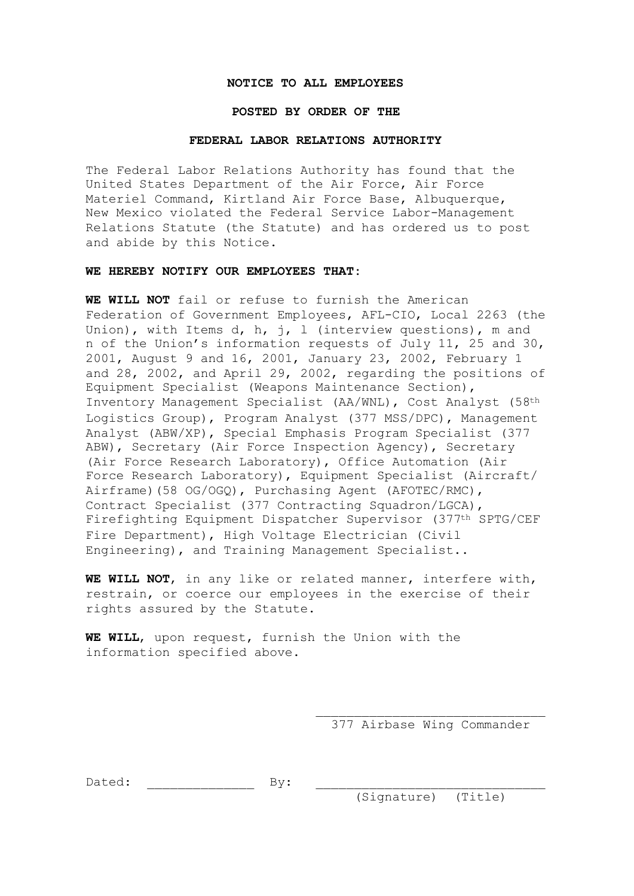#### **NOTICE TO ALL EMPLOYEES**

#### **POSTED BY ORDER OF THE**

#### **FEDERAL LABOR RELATIONS AUTHORITY**

The Federal Labor Relations Authority has found that the United States Department of the Air Force, Air Force Materiel Command, Kirtland Air Force Base, Albuquerque, New Mexico violated the Federal Service Labor-Management Relations Statute (the Statute) and has ordered us to post and abide by this Notice.

### **WE HEREBY NOTIFY OUR EMPLOYEES THAT:**

**WE WILL NOT** fail or refuse to furnish the American Federation of Government Employees, AFL-CIO, Local 2263 (the Union), with Items d, h, j, l (interview questions), m and n of the Union's information requests of July 11, 25 and 30, 2001, August 9 and 16, 2001, January 23, 2002, February 1 and 28, 2002, and April 29, 2002, regarding the positions of Equipment Specialist (Weapons Maintenance Section), Inventory Management Specialist (AA/WNL), Cost Analyst (58th Logistics Group), Program Analyst (377 MSS/DPC), Management Analyst (ABW/XP), Special Emphasis Program Specialist (377 ABW), Secretary (Air Force Inspection Agency), Secretary (Air Force Research Laboratory), Office Automation (Air Force Research Laboratory), Equipment Specialist (Aircraft/ Airframe)(58 OG/OGQ), Purchasing Agent (AFOTEC/RMC), Contract Specialist (377 Contracting Squadron/LGCA), Firefighting Equipment Dispatcher Supervisor (377th SPTG/CEF Fire Department), High Voltage Electrician (Civil Engineering), and Training Management Specialist..

**WE WILL NOT**, in any like or related manner, interfere with, restrain, or coerce our employees in the exercise of their rights assured by the Statute.

**WE WILL**, upon request, furnish the Union with the information specified above.

> $\overline{\phantom{a}}$  , where  $\overline{\phantom{a}}$  , where  $\overline{\phantom{a}}$  ,  $\overline{\phantom{a}}$  ,  $\overline{\phantom{a}}$  ,  $\overline{\phantom{a}}$  ,  $\overline{\phantom{a}}$  ,  $\overline{\phantom{a}}$  ,  $\overline{\phantom{a}}$  ,  $\overline{\phantom{a}}$  ,  $\overline{\phantom{a}}$  ,  $\overline{\phantom{a}}$  ,  $\overline{\phantom{a}}$  ,  $\overline{\phantom{a}}$  ,  $\overline{\phantom{a}}$  , 377 Airbase Wing Commander

Dated: By:

(Signature) (Title)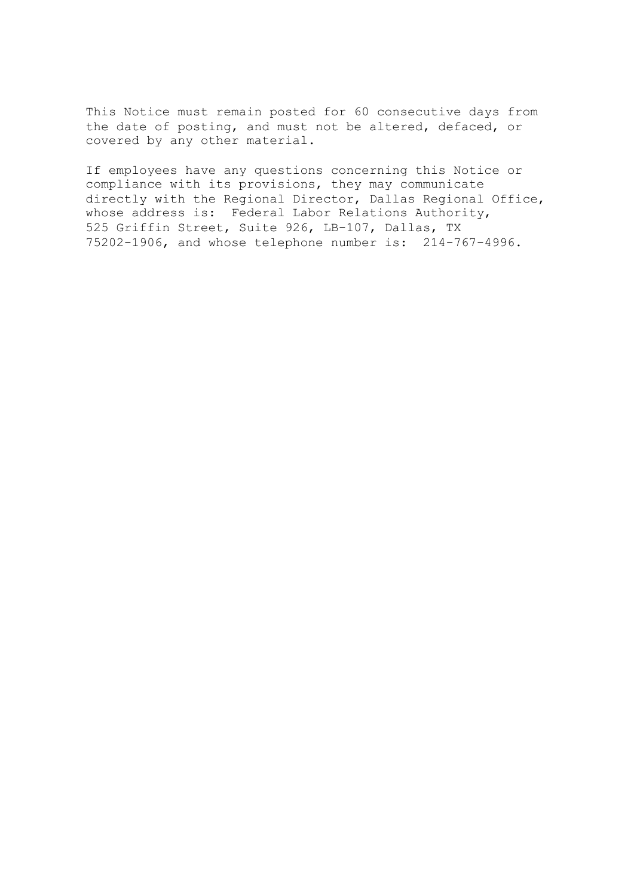This Notice must remain posted for 60 consecutive days from the date of posting, and must not be altered, defaced, or covered by any other material.

If employees have any questions concerning this Notice or compliance with its provisions, they may communicate directly with the Regional Director, Dallas Regional Office, whose address is: Federal Labor Relations Authority, 525 Griffin Street, Suite 926, LB-107, Dallas, TX 75202-1906, and whose telephone number is: 214-767-4996.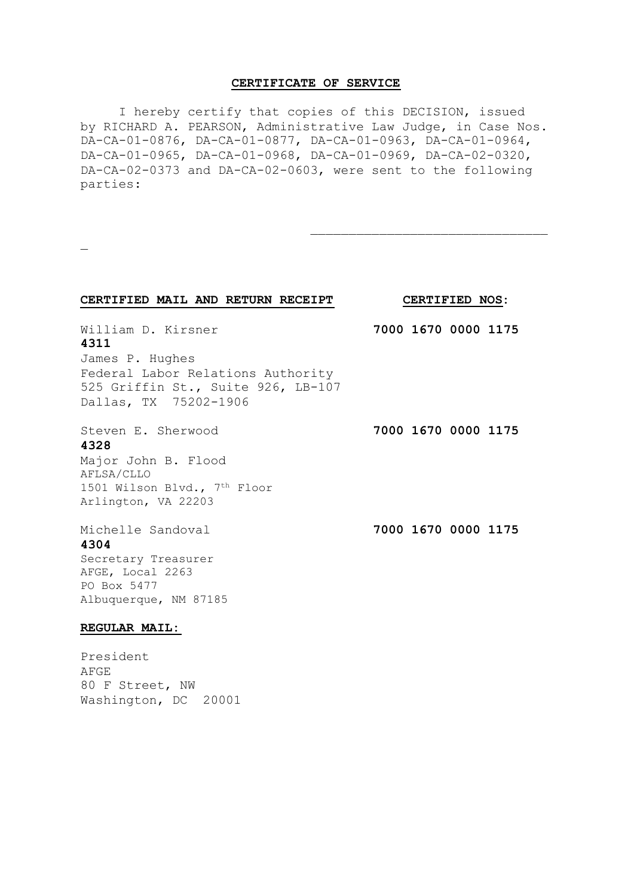#### **CERTIFICATE OF SERVICE**

I hereby certify that copies of this DECISION, issued by RICHARD A. PEARSON, Administrative Law Judge, in Case Nos. DA-CA-01-0876, DA-CA-01-0877, DA-CA-01-0963, DA-CA-01-0964, DA-CA-01-0965, DA-CA-01-0968, DA-CA-01-0969, DA-CA-02-0320, DA-CA-02-0373 and DA-CA-02-0603, were sent to the following parties:

\_\_\_\_\_\_\_\_\_\_\_\_\_\_\_\_\_\_\_\_\_\_\_\_\_\_\_\_\_\_\_

**CERTIFIED MAIL AND RETURN RECEIPT CERTIFIED NOS:** William D. Kirsner **7000 1670 0000 1175 4311** James P. Hughes Federal Labor Relations Authority 525 Griffin St., Suite 926, LB-107 Dallas, TX 75202-1906 Steven E. Sherwood **7000 1670 0000 1175 4328** Major John B. Flood AFLSA/CLLO 1501 Wilson Blvd., 7<sup>th</sup> Floor Arlington, VA 22203 Michelle Sandoval **7000 1670 0000 1175 4304** Secretary Treasurer AFGE, Local 2263 PO Box 5477 Albuquerque, NM 87185 **REGULAR MAIL:**

President AFGE 80 F Street, NW Washington, DC 20001

 $\overline{\phantom{0}}$